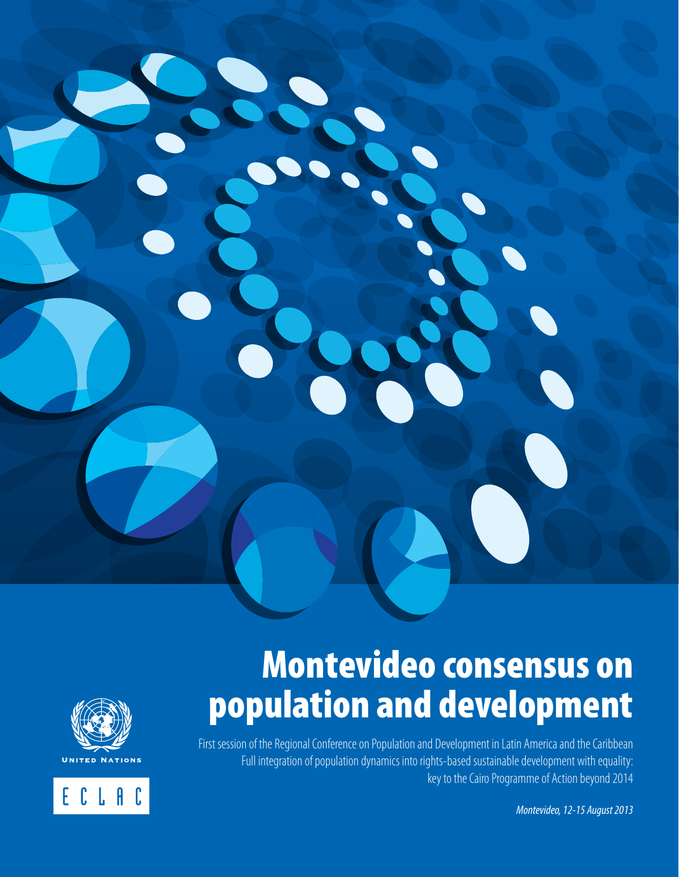





# Montevideo consensus on population and development

First session of the Regional Conference on Population and Development in Latin America and the Caribbean Full integration of population dynamics into rights-based sustainable development with equality: key to the Cairo Programme of Action beyond 2014

*Montevideo, 12-15 August 2013*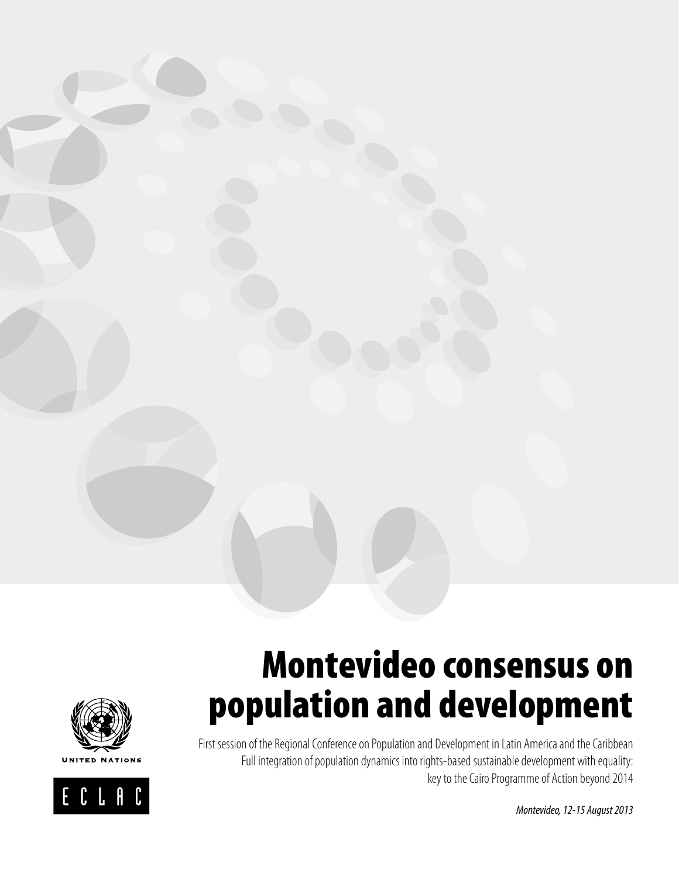# Montevideo consensus on population and development

First session of the Regional Conference on Population and Development in Latin America and the Caribbean Full integration of population dynamics into rights-based sustainable development with equality: key to the Cairo Programme of Action beyond 2014



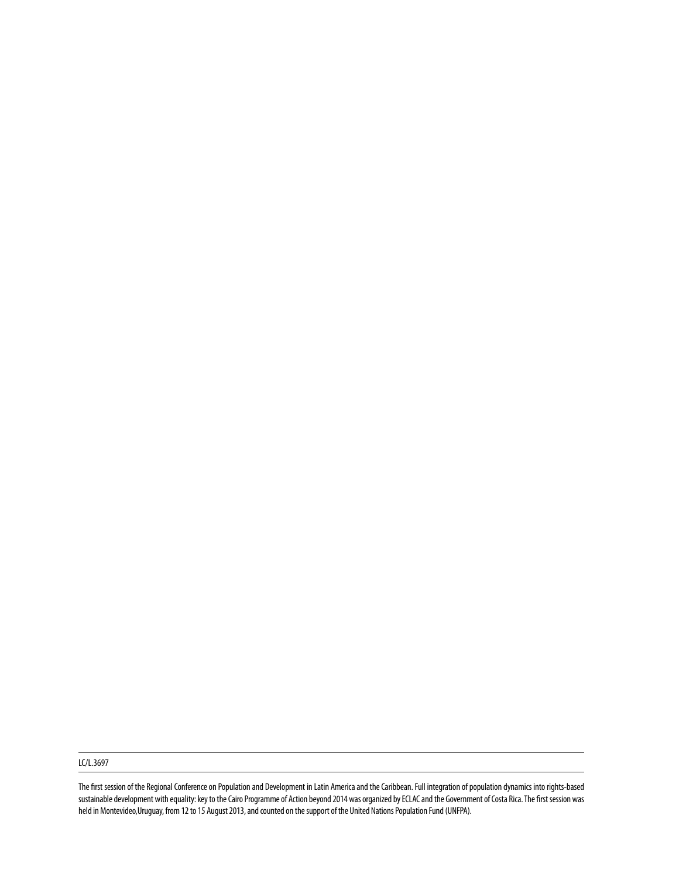LC/L.3697

The first session of the Regional Conference on Population and Development in Latin America and the Caribbean. Full integration of population dynamics into rights-based sustainable development with equality: key to the Cairo Programme of Action beyond 2014 was organized by ECLAC and the Government of Costa Rica. The first session was held in Montevideo,Uruguay, from 12 to 15 August 2013, and counted on the support of the United Nations Population Fund (UNFPA).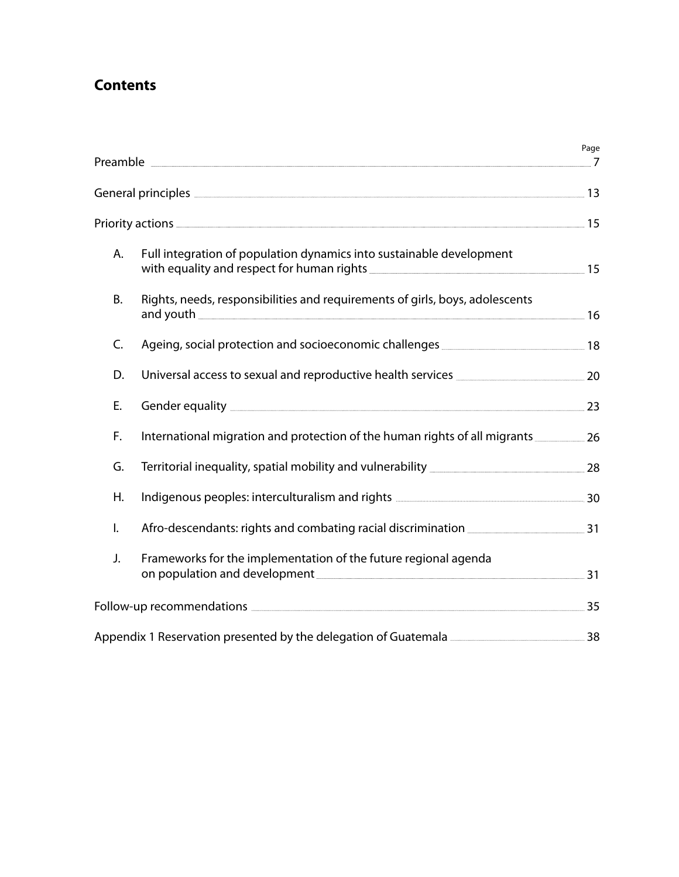# **Contents**

|                                                                                     |                                                                                            | Page |
|-------------------------------------------------------------------------------------|--------------------------------------------------------------------------------------------|------|
|                                                                                     |                                                                                            |      |
|                                                                                     |                                                                                            |      |
| А.                                                                                  | Full integration of population dynamics into sustainable development                       |      |
| <b>B.</b>                                                                           | Rights, needs, responsibilities and requirements of girls, boys, adolescents               |      |
| C.                                                                                  | Ageing, social protection and socioeconomic challenges __________________________ 18       |      |
| D.                                                                                  |                                                                                            |      |
| Ε.                                                                                  | Gender equality 23                                                                         |      |
| F.                                                                                  | International migration and protection of the human rights of all migrants ____________ 26 |      |
| G.                                                                                  |                                                                                            |      |
| Η.                                                                                  | Indigenous peoples: interculturalism and rights <b>Manual Engineer and Fights</b> 30       |      |
| I.                                                                                  |                                                                                            |      |
| J.                                                                                  | Frameworks for the implementation of the future regional agenda                            | 31   |
|                                                                                     |                                                                                            |      |
| Appendix 1 Reservation presented by the delegation of Guatemala <b>Consenses</b> 38 |                                                                                            |      |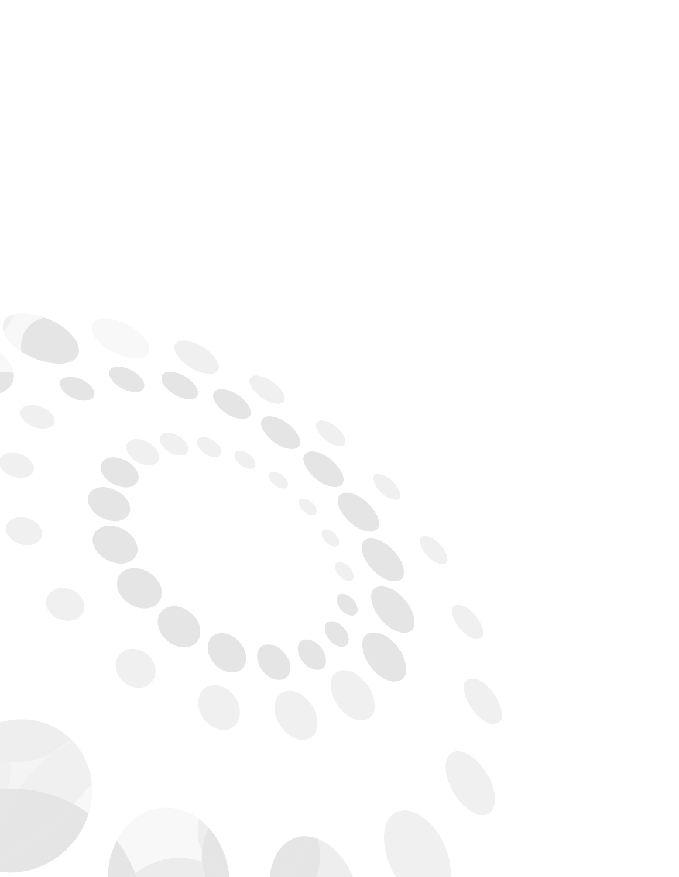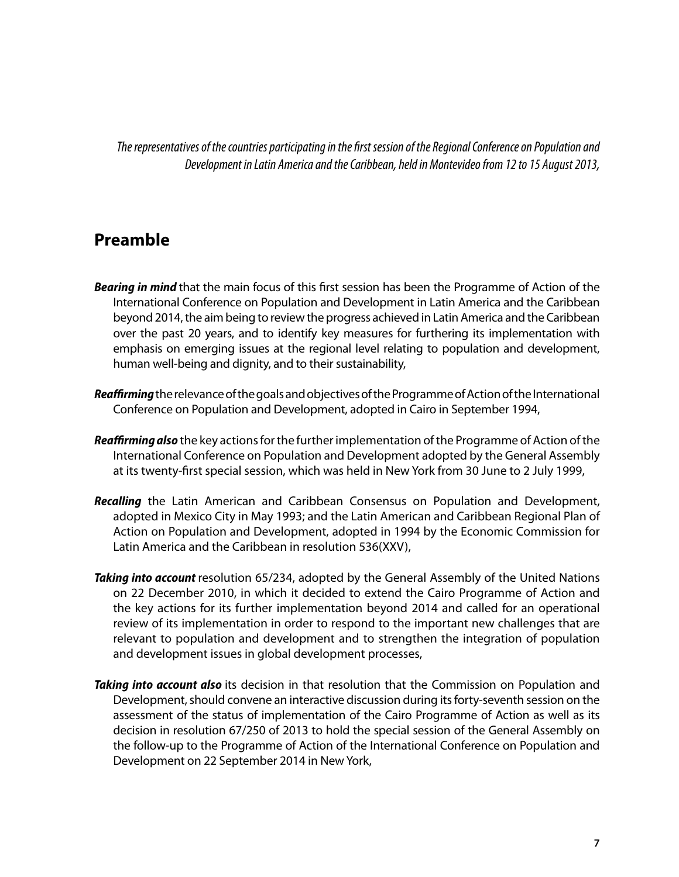*The representatives of the countries participating in the first session of the Regional Conference on Population and Development in Latin America and the Caribbean, held in Montevideo from 12 to 15 August 2013,*

## **Preamble**

- *Bearing in mind* that the main focus of this first session has been the Programme of Action of the International Conference on Population and Development in Latin America and the Caribbean beyond 2014, the aim being to review the progress achieved in Latin America and the Caribbean over the past 20 years, and to identify key measures for furthering its implementation with emphasis on emerging issues at the regional level relating to population and development, human well-being and dignity, and to their sustainability,
- *Reaffirming* the relevance of the goals and objectives of the Programme of Action of the International Conference on Population and Development, adopted in Cairo in September 1994,
- *Reaffirming also* the key actions for the further implementation of the Programme of Action of the International Conference on Population and Development adopted by the General Assembly at its twenty-first special session, which was held in New York from 30 June to 2 July 1999,
- *Recalling* the Latin American and Caribbean Consensus on Population and Development, adopted in Mexico City in May 1993; and the Latin American and Caribbean Regional Plan of Action on Population and Development, adopted in 1994 by the Economic Commission for Latin America and the Caribbean in resolution 536(XXV),
- *Taking into account* resolution 65/234, adopted by the General Assembly of the United Nations on 22 December 2010, in which it decided to extend the Cairo Programme of Action and the key actions for its further implementation beyond 2014 and called for an operational review of its implementation in order to respond to the important new challenges that are relevant to population and development and to strengthen the integration of population and development issues in global development processes,
- *Taking into account also* its decision in that resolution that the Commission on Population and Development, should convene an interactive discussion during its forty-seventh session on the assessment of the status of implementation of the Cairo Programme of Action as well as its decision in resolution 67/250 of 2013 to hold the special session of the General Assembly on the follow-up to the Programme of Action of the International Conference on Population and Development on 22 September 2014 in New York,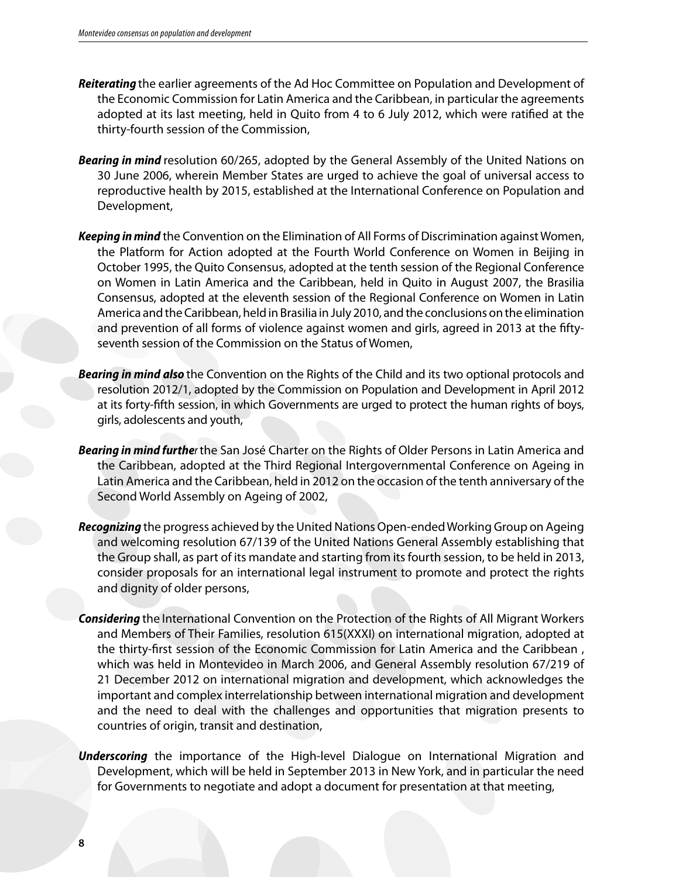- *Reiterating* the earlier agreements of the Ad Hoc Committee on Population and Development of the Economic Commission for Latin America and the Caribbean, in particular the agreements adopted at its last meeting, held in Quito from 4 to 6 July 2012, which were ratified at the thirty-fourth session of the Commission,
- *Bearing in mind* resolution 60/265, adopted by the General Assembly of the United Nations on 30 June 2006, wherein Member States are urged to achieve the goal of universal access to reproductive health by 2015, established at the International Conference on Population and Development,
- *Keeping in mind* the Convention on the Elimination of All Forms of Discrimination against Women, the Platform for Action adopted at the Fourth World Conference on Women in Beijing in October 1995, the Quito Consensus, adopted at the tenth session of the Regional Conference on Women in Latin America and the Caribbean, held in Quito in August 2007, the Brasilia Consensus, adopted at the eleventh session of the Regional Conference on Women in Latin America and the Caribbean, held in Brasilia in July 2010, and the conclusions on the elimination and prevention of all forms of violence against women and girls, agreed in 2013 at the fiftyseventh session of the Commission on the Status of Women,
- *Bearing in mind also* the Convention on the Rights of the Child and its two optional protocols and resolution 2012/1, adopted by the Commission on Population and Development in April 2012 at its forty-fifth session, in which Governments are urged to protect the human rights of boys, girls, adolescents and youth,
- *Bearing in mind further* the San José Charter on the Rights of Older Persons in Latin America and the Caribbean, adopted at the Third Regional Intergovernmental Conference on Ageing in Latin America and the Caribbean, held in 2012 on the occasion of the tenth anniversary of the Second World Assembly on Ageing of 2002,
- *Recognizing* the progress achieved by the United Nations Open-ended Working Group on Ageing and welcoming resolution 67/139 of the United Nations General Assembly establishing that the Group shall, as part of its mandate and starting from its fourth session, to be held in 2013, consider proposals for an international legal instrument to promote and protect the rights and dignity of older persons,
- *Considering* the International Convention on the Protection of the Rights of All Migrant Workers and Members of Their Families, resolution 615(XXXI) on international migration, adopted at the thirty-first session of the Economic Commission for Latin America and the Caribbean , which was held in Montevideo in March 2006, and General Assembly resolution 67/219 of 21 December 2012 on international migration and development, which acknowledges the important and complex interrelationship between international migration and development and the need to deal with the challenges and opportunities that migration presents to countries of origin, transit and destination,
- *Underscoring* the importance of the High-level Dialogue on International Migration and Development, which will be held in September 2013 in New York, and in particular the need for Governments to negotiate and adopt a document for presentation at that meeting,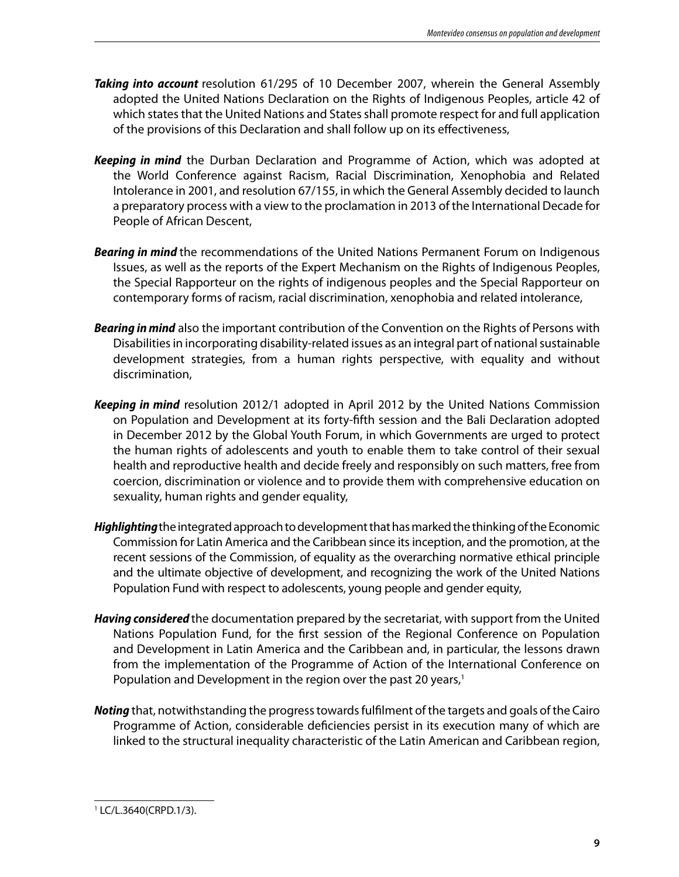- *Taking into account* resolution 61/295 of 10 December 2007, wherein the General Assembly adopted the United Nations Declaration on the Rights of Indigenous Peoples, article 42 of which states that the United Nations and States shall promote respect for and full application of the provisions of this Declaration and shall follow up on its effectiveness,
- *Keeping in mind* the Durban Declaration and Programme of Action, which was adopted at the World Conference against Racism, Racial Discrimination, Xenophobia and Related Intolerance in 2001, and resolution 67/155, in which the General Assembly decided to launch a preparatory process with a view to the proclamation in 2013 of the International Decade for People of African Descent,
- *Bearing in mind* the recommendations of the United Nations Permanent Forum on Indigenous Issues, as well as the reports of the Expert Mechanism on the Rights of Indigenous Peoples, the Special Rapporteur on the rights of indigenous peoples and the Special Rapporteur on contemporary forms of racism, racial discrimination, xenophobia and related intolerance,
- *Bearing in mind* also the important contribution of the Convention on the Rights of Persons with Disabilities in incorporating disability-related issues as an integral part of national sustainable development strategies, from a human rights perspective, with equality and without discrimination,
- *Keeping in mind* resolution 2012/1 adopted in April 2012 by the United Nations Commission on Population and Development at its forty-fifth session and the Bali Declaration adopted in December 2012 by the Global Youth Forum, in which Governments are urged to protect the human rights of adolescents and youth to enable them to take control of their sexual health and reproductive health and decide freely and responsibly on such matters, free from coercion, discrimination or violence and to provide them with comprehensive education on sexuality, human rights and gender equality,
- *Highlighting*the integrated approach to development that has marked the thinking of the Economic Commission for Latin America and the Caribbean since its inception, and the promotion, at the recent sessions of the Commission, of equality as the overarching normative ethical principle and the ultimate objective of development, and recognizing the work of the United Nations Population Fund with respect to adolescents, young people and gender equity,
- *Having considered* the documentation prepared by the secretariat, with support from the United Nations Population Fund, for the first session of the Regional Conference on Population and Development in Latin America and the Caribbean and, in particular, the lessons drawn from the implementation of the Programme of Action of the International Conference on Population and Development in the region over the past 20 years, $1$
- *Noting* that, notwithstanding the progress towards fulfilment of the targets and goals of the Cairo Programme of Action, considerable deficiencies persist in its execution many of which are linked to the structural inequality characteristic of the Latin American and Caribbean region,

<sup>1</sup> LC/L.3640(CRPD.1/3).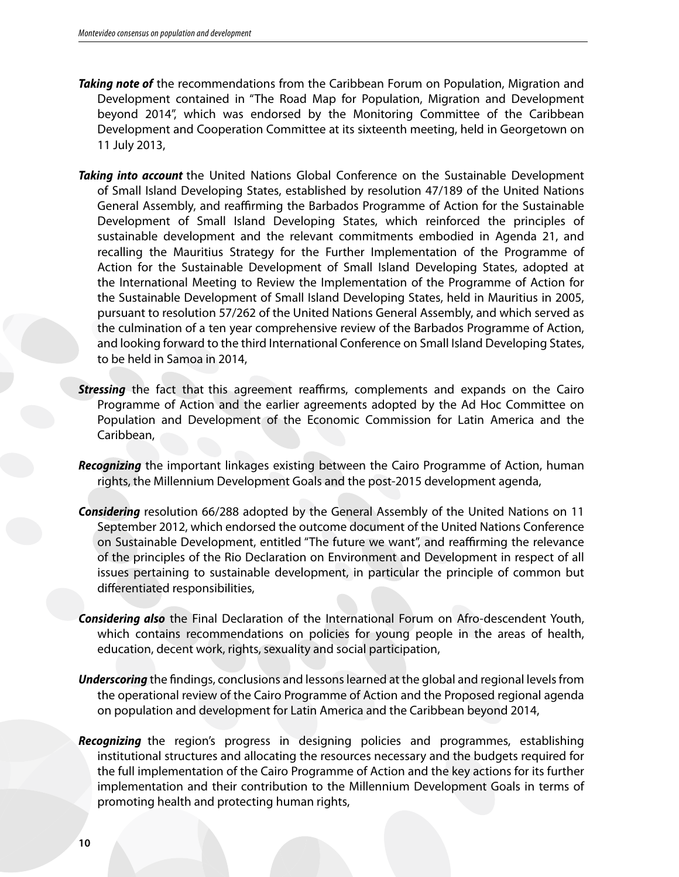- *Taking note of* the recommendations from the Caribbean Forum on Population, Migration and Development contained in "The Road Map for Population, Migration and Development beyond 2014", which was endorsed by the Monitoring Committee of the Caribbean Development and Cooperation Committee at its sixteenth meeting, held in Georgetown on 11 July 2013,
- *Taking into account* the United Nations Global Conference on the Sustainable Development of Small Island Developing States, established by resolution 47/189 of the United Nations General Assembly, and reaffirming the Barbados Programme of Action for the Sustainable Development of Small Island Developing States, which reinforced the principles of sustainable development and the relevant commitments embodied in Agenda 21, and recalling the Mauritius Strategy for the Further Implementation of the Programme of Action for the Sustainable Development of Small Island Developing States, adopted at the International Meeting to Review the Implementation of the Programme of Action for the Sustainable Development of Small Island Developing States, held in Mauritius in 2005, pursuant to resolution 57/262 of the United Nations General Assembly, and which served as the culmination of a ten year comprehensive review of the Barbados Programme of Action, and looking forward to the third International Conference on Small Island Developing States, to be held in Samoa in 2014,
- **Stressing** the fact that this agreement reaffirms, complements and expands on the Cairo Programme of Action and the earlier agreements adopted by the Ad Hoc Committee on Population and Development of the Economic Commission for Latin America and the Caribbean,
- *Recognizing* the important linkages existing between the Cairo Programme of Action, human rights, the Millennium Development Goals and the post-2015 development agenda,
- *Considering* resolution 66/288 adopted by the General Assembly of the United Nations on 11 September 2012, which endorsed the outcome document of the United Nations Conference on Sustainable Development, entitled "The future we want", and reaffirming the relevance of the principles of the Rio Declaration on Environment and Development in respect of all issues pertaining to sustainable development, in particular the principle of common but differentiated responsibilities,
- *Considering also* the Final Declaration of the International Forum on Afro-descendent Youth, which contains recommendations on policies for young people in the areas of health, education, decent work, rights, sexuality and social participation,
- *Underscoring* the findings, conclusions and lessons learned at the global and regional levels from the operational review of the Cairo Programme of Action and the Proposed regional agenda on population and development for Latin America and the Caribbean beyond 2014,
- *Recognizing* the region's progress in designing policies and programmes, establishing institutional structures and allocating the resources necessary and the budgets required for the full implementation of the Cairo Programme of Action and the key actions for its further implementation and their contribution to the Millennium Development Goals in terms of promoting health and protecting human rights,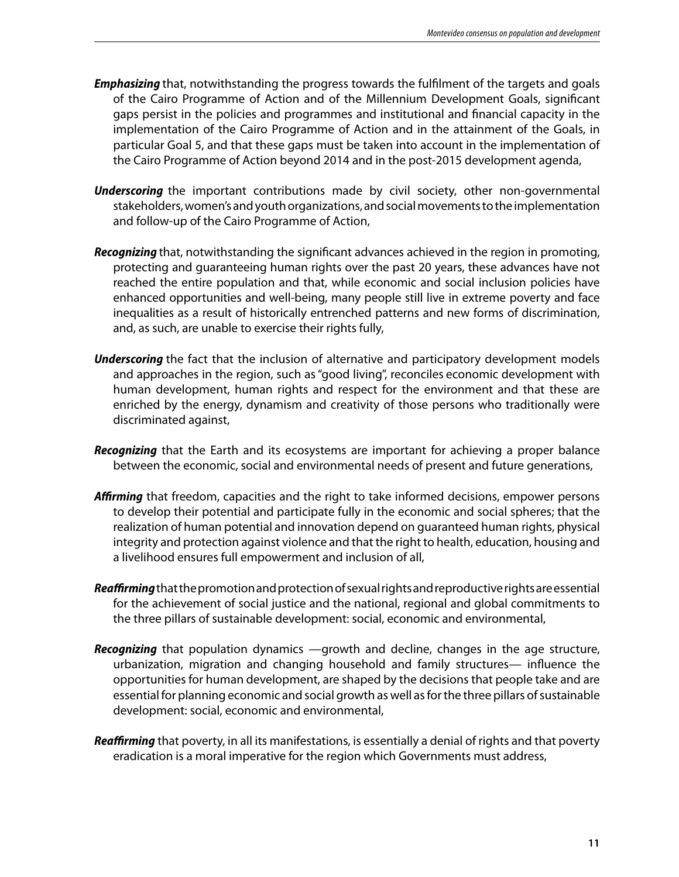- *Emphasizing* that, notwithstanding the progress towards the fulfilment of the targets and goals of the Cairo Programme of Action and of the Millennium Development Goals, significant gaps persist in the policies and programmes and institutional and financial capacity in the implementation of the Cairo Programme of Action and in the attainment of the Goals, in particular Goal 5, and that these gaps must be taken into account in the implementation of the Cairo Programme of Action beyond 2014 and in the post-2015 development agenda,
- *Underscoring* the important contributions made by civil society, other non-governmental stakeholders, women's and youth organizations, and social movements to the implementation and follow-up of the Cairo Programme of Action,
- *Recognizing* that, notwithstanding the significant advances achieved in the region in promoting, protecting and guaranteeing human rights over the past 20 years, these advances have not reached the entire population and that, while economic and social inclusion policies have enhanced opportunities and well-being, many people still live in extreme poverty and face inequalities as a result of historically entrenched patterns and new forms of discrimination, and, as such, are unable to exercise their rights fully,
- *Underscoring* the fact that the inclusion of alternative and participatory development models and approaches in the region, such as "good living", reconciles economic development with human development, human rights and respect for the environment and that these are enriched by the energy, dynamism and creativity of those persons who traditionally were discriminated against,
- *Recognizing* that the Earth and its ecosystems are important for achieving a proper balance between the economic, social and environmental needs of present and future generations,
- *Affirming* that freedom, capacities and the right to take informed decisions, empower persons to develop their potential and participate fully in the economic and social spheres; that the realization of human potential and innovation depend on guaranteed human rights, physical integrity and protection against violence and that the right to health, education, housing and a livelihood ensures full empowerment and inclusion of all,
- *Reaffirming* that the promotion and protection of sexual rights and reproductive rights are essential for the achievement of social justice and the national, regional and global commitments to the three pillars of sustainable development: social, economic and environmental,
- *Recognizing* that population dynamics —growth and decline, changes in the age structure, urbanization, migration and changing household and family structures— influence the opportunities for human development, are shaped by the decisions that people take and are essential for planning economic and social growth as well as for the three pillars of sustainable development: social, economic and environmental,
- *Reaffirming* that poverty, in all its manifestations, is essentially a denial of rights and that poverty eradication is a moral imperative for the region which Governments must address,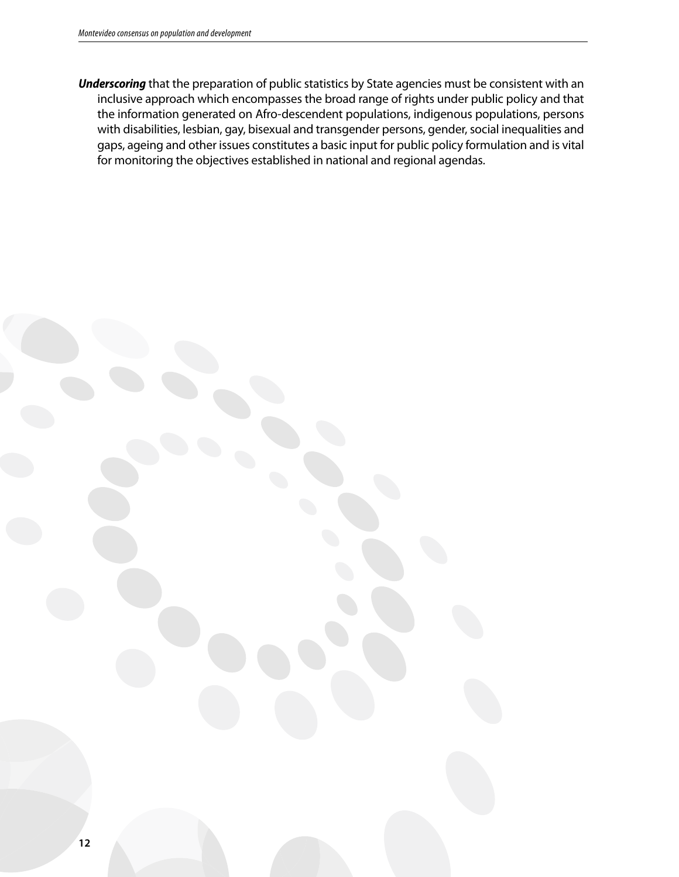*Underscoring* that the preparation of public statistics by State agencies must be consistent with an inclusive approach which encompasses the broad range of rights under public policy and that the information generated on Afro-descendent populations, indigenous populations, persons with disabilities, lesbian, gay, bisexual and transgender persons, gender, social inequalities and gaps, ageing and other issues constitutes a basic input for public policy formulation and is vital for monitoring the objectives established in national and regional agendas.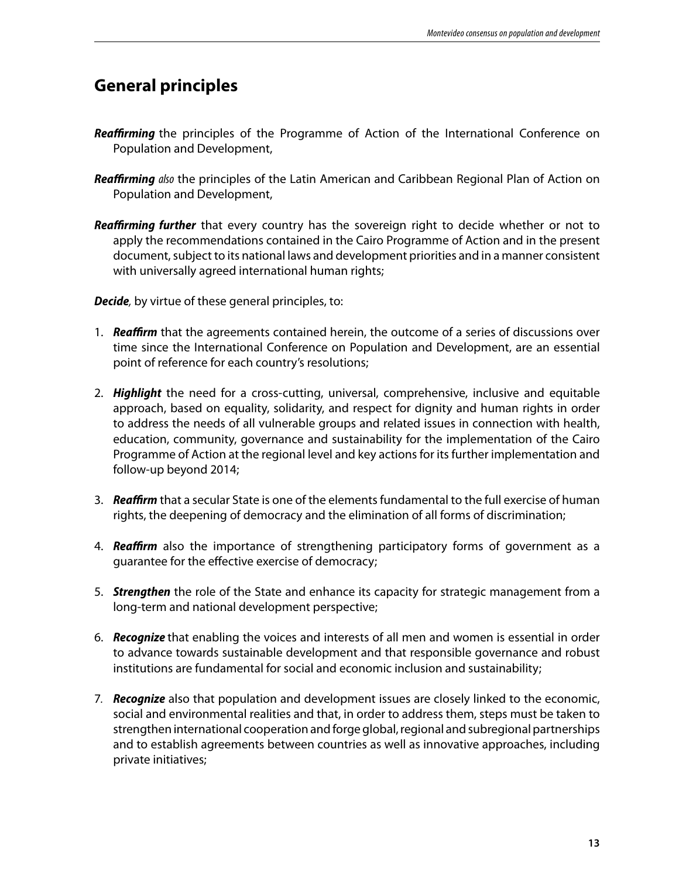# **General principles**

- *Reaffirming* the principles of the Programme of Action of the International Conference on Population and Development,
- *Reaffirming also* the principles of the Latin American and Caribbean Regional Plan of Action on Population and Development,
- *Reaffirming further* that every country has the sovereign right to decide whether or not to apply the recommendations contained in the Cairo Programme of Action and in the present document, subject to its national laws and development priorities and in a manner consistent with universally agreed international human rights;

*Decide,* by virtue of these general principles, to:

- 1. *Reaffirm* that the agreements contained herein, the outcome of a series of discussions over time since the International Conference on Population and Development, are an essential point of reference for each country's resolutions;
- 2. *Highlight* the need for a cross-cutting, universal, comprehensive, inclusive and equitable approach, based on equality, solidarity, and respect for dignity and human rights in order to address the needs of all vulnerable groups and related issues in connection with health, education, community, governance and sustainability for the implementation of the Cairo Programme of Action at the regional level and key actions for its further implementation and follow-up beyond 2014;
- 3. *Reaffirm* that a secular State is one of the elements fundamental to the full exercise of human rights, the deepening of democracy and the elimination of all forms of discrimination;
- 4. *Reaffirm* also the importance of strengthening participatory forms of government as a guarantee for the effective exercise of democracy;
- 5. *Strengthen* the role of the State and enhance its capacity for strategic management from a long-term and national development perspective;
- 6. *Recognize* that enabling the voices and interests of all men and women is essential in order to advance towards sustainable development and that responsible governance and robust institutions are fundamental for social and economic inclusion and sustainability;
- 7*. Recognize* also that population and development issues are closely linked to the economic, social and environmental realities and that, in order to address them, steps must be taken to strengthen international cooperation and forge global, regional and subregional partnerships and to establish agreements between countries as well as innovative approaches, including private initiatives;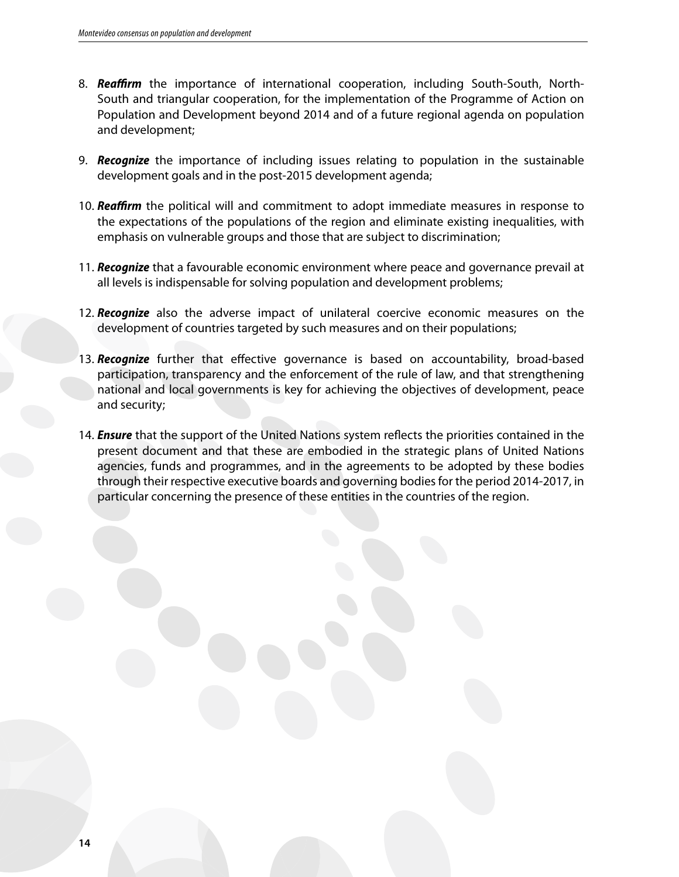- 8. *Reaffirm* the importance of international cooperation, including South-South, North-South and triangular cooperation, for the implementation of the Programme of Action on Population and Development beyond 2014 and of a future regional agenda on population and development;
- 9. *Recognize* the importance of including issues relating to population in the sustainable development goals and in the post-2015 development agenda;
- 10. *Reaffirm* the political will and commitment to adopt immediate measures in response to the expectations of the populations of the region and eliminate existing inequalities, with emphasis on vulnerable groups and those that are subject to discrimination;
- 11. *Recognize* that a favourable economic environment where peace and governance prevail at all levels is indispensable for solving population and development problems;
- 12. *Recognize* also the adverse impact of unilateral coercive economic measures on the development of countries targeted by such measures and on their populations;
- 13. *Recognize* further that effective governance is based on accountability, broad-based participation, transparency and the enforcement of the rule of law, and that strengthening national and local governments is key for achieving the objectives of development, peace and security;
- 14. *Ensure* that the support of the United Nations system reflects the priorities contained in the present document and that these are embodied in the strategic plans of United Nations agencies, funds and programmes, and in the agreements to be adopted by these bodies through their respective executive boards and governing bodies for the period 2014-2017, in particular concerning the presence of these entities in the countries of the region.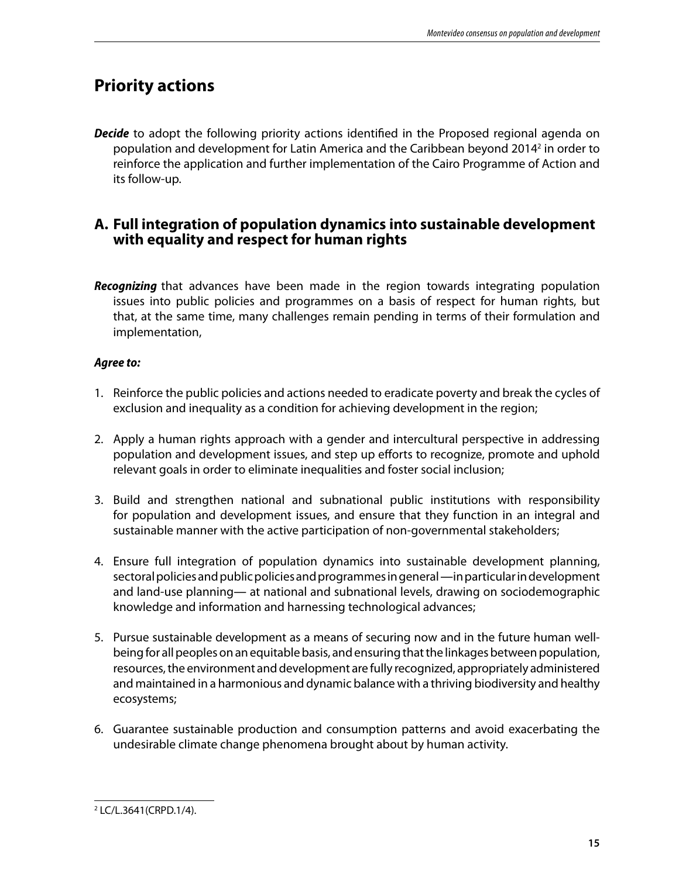# **Priority actions**

*Decide* to adopt the following priority actions identified in the Proposed regional agenda on population and development for Latin America and the Caribbean beyond 2014<sup>2</sup> in order to reinforce the application and further implementation of the Cairo Programme of Action and its follow-up.

## **A. Full integration of population dynamics into sustainable development with equality and respect for human rights**

*Recognizing* that advances have been made in the region towards integrating population issues into public policies and programmes on a basis of respect for human rights, but that, at the same time, many challenges remain pending in terms of their formulation and implementation,

- 1. Reinforce the public policies and actions needed to eradicate poverty and break the cycles of exclusion and inequality as a condition for achieving development in the region;
- 2. Apply a human rights approach with a gender and intercultural perspective in addressing population and development issues, and step up efforts to recognize, promote and uphold relevant goals in order to eliminate inequalities and foster social inclusion;
- 3. Build and strengthen national and subnational public institutions with responsibility for population and development issues, and ensure that they function in an integral and sustainable manner with the active participation of non-governmental stakeholders;
- 4. Ensure full integration of population dynamics into sustainable development planning, sectoral policies and public policies and programmes in general ―in particular in development and land-use planning― at national and subnational levels, drawing on sociodemographic knowledge and information and harnessing technological advances;
- 5. Pursue sustainable development as a means of securing now and in the future human wellbeing for all peoples on an equitable basis, and ensuring that the linkages between population, resources, the environment and development are fully recognized, appropriately administered and maintained in a harmonious and dynamic balance with a thriving biodiversity and healthy ecosystems;
- 6. Guarantee sustainable production and consumption patterns and avoid exacerbating the undesirable climate change phenomena brought about by human activity.

<sup>2</sup> LC/L.3641(CRPD.1/4).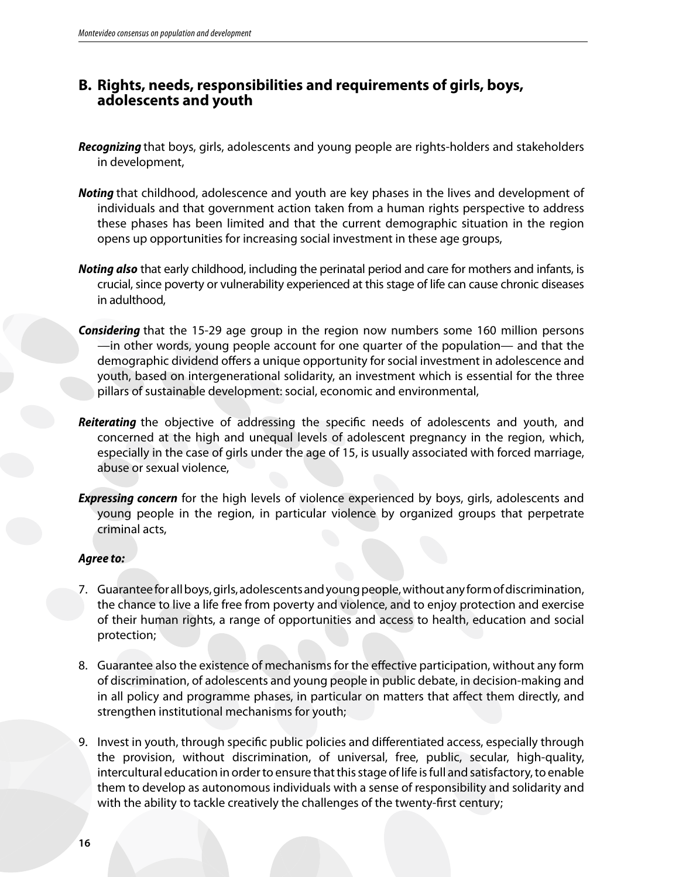## **B. Rights, needs, responsibilities and requirements of girls, boys, adolescents and youth**

- *Recognizing* that boys, girls, adolescents and young people are rights-holders and stakeholders in development,
- *Noting* that childhood, adolescence and youth are key phases in the lives and development of individuals and that government action taken from a human rights perspective to address these phases has been limited and that the current demographic situation in the region opens up opportunities for increasing social investment in these age groups,
- *Noting also* that early childhood, including the perinatal period and care for mothers and infants, is crucial, since poverty or vulnerability experienced at this stage of life can cause chronic diseases in adulthood,
- *Considering* that the 15-29 age group in the region now numbers some 160 million persons —in other words, young people account for one quarter of the population— and that the demographic dividend offers a unique opportunity for social investment in adolescence and youth, based on intergenerational solidarity, an investment which is essential for the three pillars of sustainable development: social, economic and environmental,
- *Reiterating* the objective of addressing the specific needs of adolescents and youth, and concerned at the high and unequal levels of adolescent pregnancy in the region, which, especially in the case of girls under the age of 15, is usually associated with forced marriage, abuse or sexual violence,
- *Expressing concern* for the high levels of violence experienced by boys, girls, adolescents and young people in the region, in particular violence by organized groups that perpetrate criminal acts,

- 7. Guarantee for all boys, girls, adolescents and young people, without any form of discrimination, the chance to live a life free from poverty and violence, and to enjoy protection and exercise of their human rights, a range of opportunities and access to health, education and social protection;
- 8. Guarantee also the existence of mechanisms for the effective participation, without any form of discrimination, of adolescents and young people in public debate, in decision-making and in all policy and programme phases, in particular on matters that affect them directly, and strengthen institutional mechanisms for youth;
- 9. Invest in youth, through specific public policies and differentiated access, especially through the provision, without discrimination, of universal, free, public, secular, high-quality, intercultural education in order to ensure that this stage of life is full and satisfactory, to enable them to develop as autonomous individuals with a sense of responsibility and solidarity and with the ability to tackle creatively the challenges of the twenty-first century;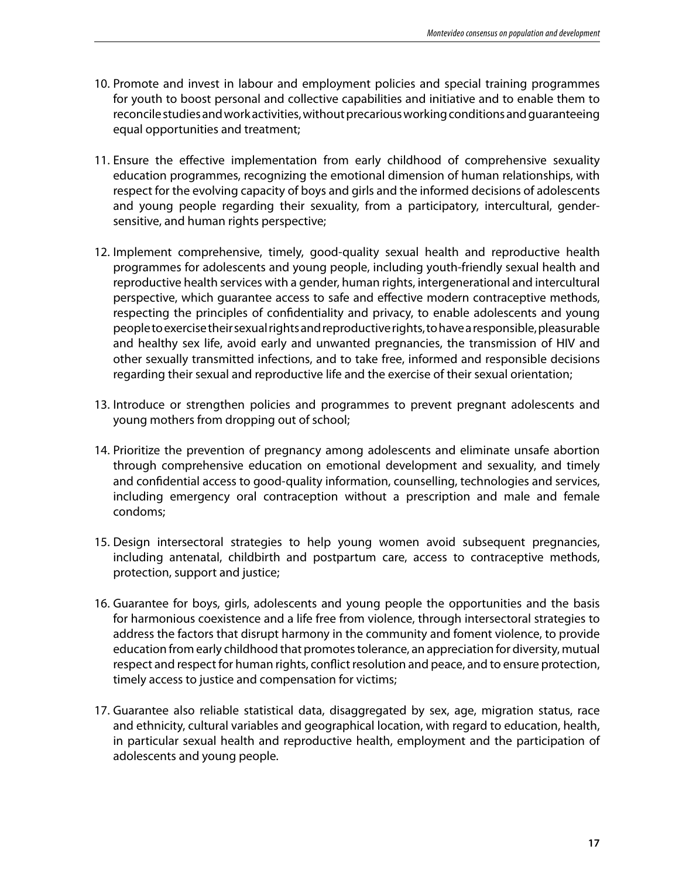- 10. Promote and invest in labour and employment policies and special training programmes for youth to boost personal and collective capabilities and initiative and to enable them to reconcile studies and work activities, without precarious working conditions and guaranteeing equal opportunities and treatment;
- 11. Ensure the effective implementation from early childhood of comprehensive sexuality education programmes, recognizing the emotional dimension of human relationships, with respect for the evolving capacity of boys and girls and the informed decisions of adolescents and young people regarding their sexuality, from a participatory, intercultural, gendersensitive, and human rights perspective;
- 12. Implement comprehensive, timely, good-quality sexual health and reproductive health programmes for adolescents and young people, including youth-friendly sexual health and reproductive health services with a gender, human rights, intergenerational and intercultural perspective, which guarantee access to safe and effective modern contraceptive methods, respecting the principles of confidentiality and privacy, to enable adolescents and young people to exercise their sexual rights and reproductive rights, to have a responsible, pleasurable and healthy sex life, avoid early and unwanted pregnancies, the transmission of HIV and other sexually transmitted infections, and to take free, informed and responsible decisions regarding their sexual and reproductive life and the exercise of their sexual orientation;
- 13. Introduce or strengthen policies and programmes to prevent pregnant adolescents and young mothers from dropping out of school;
- 14. Prioritize the prevention of pregnancy among adolescents and eliminate unsafe abortion through comprehensive education on emotional development and sexuality, and timely and confidential access to good-quality information, counselling, technologies and services, including emergency oral contraception without a prescription and male and female condoms;
- 15. Design intersectoral strategies to help young women avoid subsequent pregnancies, including antenatal, childbirth and postpartum care, access to contraceptive methods, protection, support and justice;
- 16. Guarantee for boys, girls, adolescents and young people the opportunities and the basis for harmonious coexistence and a life free from violence, through intersectoral strategies to address the factors that disrupt harmony in the community and foment violence, to provide education from early childhood that promotes tolerance, an appreciation for diversity, mutual respect and respect for human rights, conflict resolution and peace, and to ensure protection, timely access to justice and compensation for victims;
- 17. Guarantee also reliable statistical data, disaggregated by sex, age, migration status, race and ethnicity, cultural variables and geographical location, with regard to education, health, in particular sexual health and reproductive health, employment and the participation of adolescents and young people.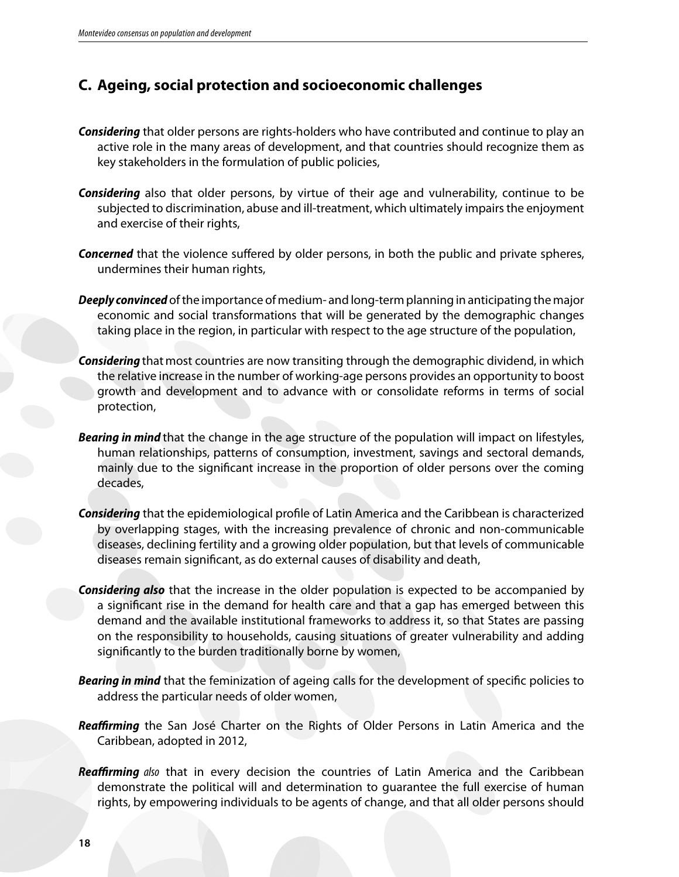## **C. Ageing, social protection and socioeconomic challenges**

- *Considering* that older persons are rights-holders who have contributed and continue to play an active role in the many areas of development, and that countries should recognize them as key stakeholders in the formulation of public policies,
- *Considering* also that older persons, by virtue of their age and vulnerability, continue to be subjected to discrimination, abuse and ill-treatment, which ultimately impairs the enjoyment and exercise of their rights,
- *Concerned* that the violence suffered by older persons, in both the public and private spheres, undermines their human rights,
- *Deeply convinced* of the importance of medium- and long-term planning in anticipating the major economic and social transformations that will be generated by the demographic changes taking place in the region, in particular with respect to the age structure of the population,
- *Considering* that most countries are now transiting through the demographic dividend, in which the relative increase in the number of working-age persons provides an opportunity to boost growth and development and to advance with or consolidate reforms in terms of social protection,
- *Bearing in mind* that the change in the age structure of the population will impact on lifestyles, human relationships, patterns of consumption, investment, savings and sectoral demands, mainly due to the significant increase in the proportion of older persons over the coming decades,
- *Considering* that the epidemiological profile of Latin America and the Caribbean is characterized by overlapping stages, with the increasing prevalence of chronic and non-communicable diseases, declining fertility and a growing older population, but that levels of communicable diseases remain significant, as do external causes of disability and death,
- *Considering also* that the increase in the older population is expected to be accompanied by a significant rise in the demand for health care and that a gap has emerged between this demand and the available institutional frameworks to address it, so that States are passing on the responsibility to households, causing situations of greater vulnerability and adding significantly to the burden traditionally borne by women,
- *Bearing in mind* that the feminization of ageing calls for the development of specific policies to address the particular needs of older women,
- *Reaffirming* the San José Charter on the Rights of Older Persons in Latin America and the Caribbean, adopted in 2012,
- *Reaffirming also* that in every decision the countries of Latin America and the Caribbean demonstrate the political will and determination to guarantee the full exercise of human rights, by empowering individuals to be agents of change, and that all older persons should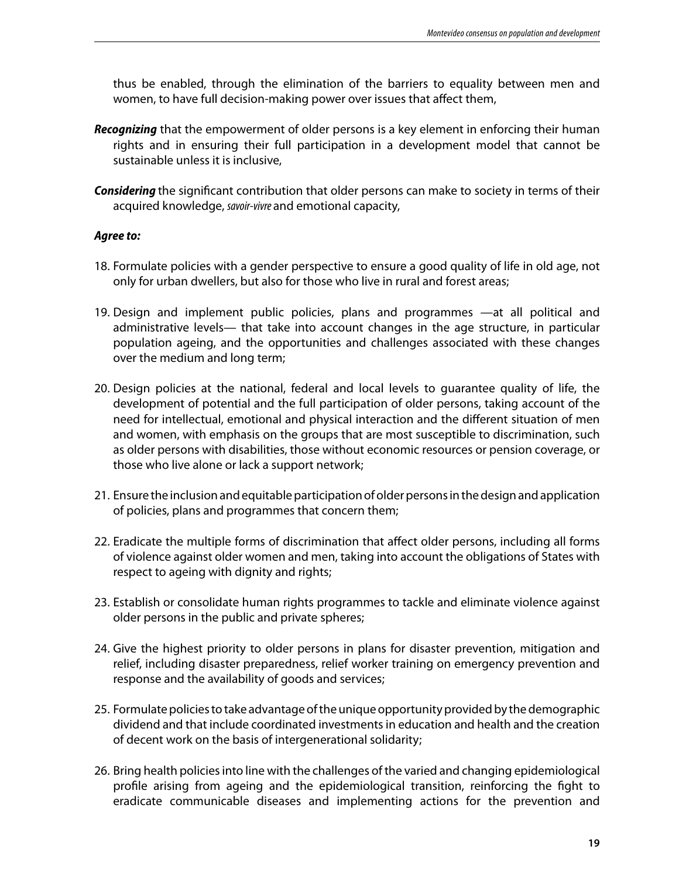thus be enabled, through the elimination of the barriers to equality between men and women, to have full decision-making power over issues that affect them,

- *Recognizing* that the empowerment of older persons is a key element in enforcing their human rights and in ensuring their full participation in a development model that cannot be sustainable unless it is inclusive,
- *Considering* the significant contribution that older persons can make to society in terms of their acquired knowledge, *savoir-vivre* and emotional capacity,

- 18. Formulate policies with a gender perspective to ensure a good quality of life in old age, not only for urban dwellers, but also for those who live in rural and forest areas;
- 19. Design and implement public policies, plans and programmes —at all political and administrative levels— that take into account changes in the age structure, in particular population ageing, and the opportunities and challenges associated with these changes over the medium and long term;
- 20. Design policies at the national, federal and local levels to guarantee quality of life, the development of potential and the full participation of older persons, taking account of the need for intellectual, emotional and physical interaction and the different situation of men and women, with emphasis on the groups that are most susceptible to discrimination, such as older persons with disabilities, those without economic resources or pension coverage, or those who live alone or lack a support network;
- 21. Ensure the inclusion and equitable participation of older persons in the design and application of policies, plans and programmes that concern them;
- 22. Eradicate the multiple forms of discrimination that affect older persons, including all forms of violence against older women and men, taking into account the obligations of States with respect to ageing with dignity and rights;
- 23. Establish or consolidate human rights programmes to tackle and eliminate violence against older persons in the public and private spheres;
- 24. Give the highest priority to older persons in plans for disaster prevention, mitigation and relief, including disaster preparedness, relief worker training on emergency prevention and response and the availability of goods and services;
- 25. Formulate policies to take advantage of the unique opportunity provided by the demographic dividend and that include coordinated investments in education and health and the creation of decent work on the basis of intergenerational solidarity;
- 26. Bring health policies into line with the challenges of the varied and changing epidemiological profile arising from ageing and the epidemiological transition, reinforcing the fight to eradicate communicable diseases and implementing actions for the prevention and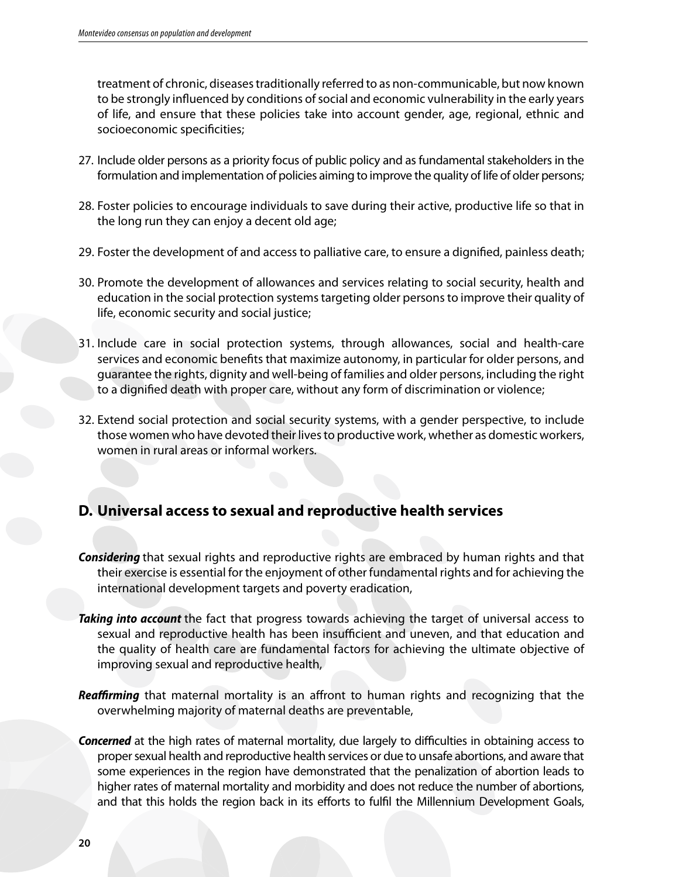treatment of chronic, diseases traditionally referred to as non-communicable, but now known to be strongly influenced by conditions of social and economic vulnerability in the early years of life, and ensure that these policies take into account gender, age, regional, ethnic and socioeconomic specificities;

- 27. Include older persons as a priority focus of public policy and as fundamental stakeholders in the formulation and implementation of policies aiming to improve the quality of life of older persons;
- 28. Foster policies to encourage individuals to save during their active, productive life so that in the long run they can enjoy a decent old age;
- 29. Foster the development of and access to palliative care, to ensure a dignified, painless death;
- 30. Promote the development of allowances and services relating to social security, health and education in the social protection systems targeting older persons to improve their quality of life, economic security and social justice;
- 31. Include care in social protection systems, through allowances, social and health-care services and economic benefits that maximize autonomy, in particular for older persons, and guarantee the rights, dignity and well-being of families and older persons, including the right to a dignified death with proper care, without any form of discrimination or violence;
- 32. Extend social protection and social security systems, with a gender perspective, to include those women who have devoted their lives to productive work, whether as domestic workers, women in rural areas or informal workers.

## **D. Universal access to sexual and reproductive health services**

- *Considering* that sexual rights and reproductive rights are embraced by human rights and that their exercise is essential for the enjoyment of other fundamental rights and for achieving the international development targets and poverty eradication,
- *Taking into account* the fact that progress towards achieving the target of universal access to sexual and reproductive health has been insufficient and uneven, and that education and the quality of health care are fundamental factors for achieving the ultimate objective of improving sexual and reproductive health,
- *Reaffirming* that maternal mortality is an affront to human rights and recognizing that the overwhelming majority of maternal deaths are preventable,
- *Concerned* at the high rates of maternal mortality, due largely to difficulties in obtaining access to proper sexual health and reproductive health services or due to unsafe abortions, and aware that some experiences in the region have demonstrated that the penalization of abortion leads to higher rates of maternal mortality and morbidity and does not reduce the number of abortions, and that this holds the region back in its efforts to fulfil the Millennium Development Goals,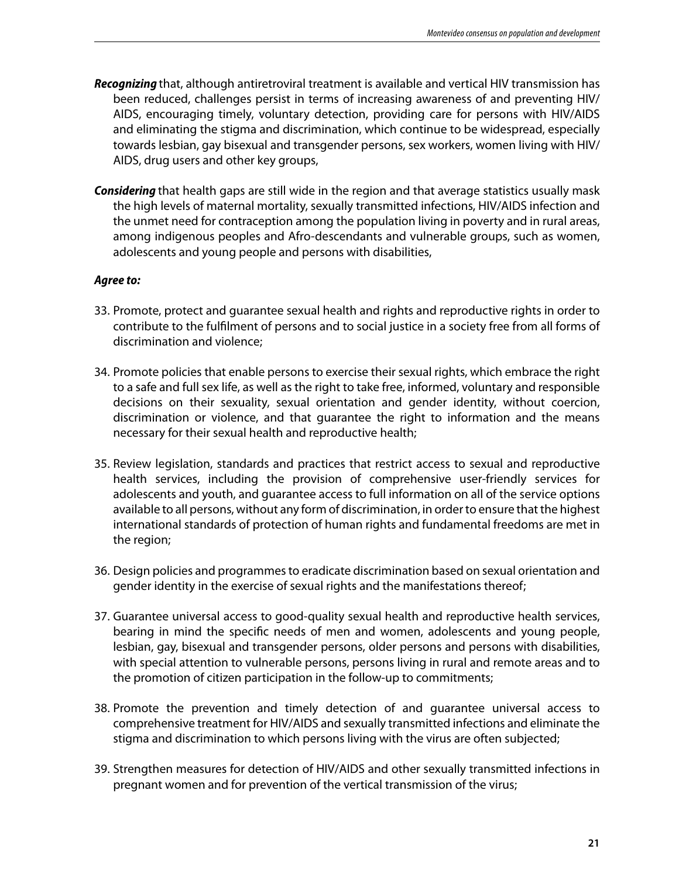- *Recognizing* that, although antiretroviral treatment is available and vertical HIV transmission has been reduced, challenges persist in terms of increasing awareness of and preventing HIV/ AIDS, encouraging timely, voluntary detection, providing care for persons with HIV/AIDS and eliminating the stigma and discrimination, which continue to be widespread, especially towards lesbian, gay bisexual and transgender persons, sex workers, women living with HIV/ AIDS, drug users and other key groups,
- *Considering* that health gaps are still wide in the region and that average statistics usually mask the high levels of maternal mortality, sexually transmitted infections, HIV/AIDS infection and the unmet need for contraception among the population living in poverty and in rural areas, among indigenous peoples and Afro-descendants and vulnerable groups, such as women, adolescents and young people and persons with disabilities,

- 33. Promote, protect and guarantee sexual health and rights and reproductive rights in order to contribute to the fulfilment of persons and to social justice in a society free from all forms of discrimination and violence;
- 34. Promote policies that enable persons to exercise their sexual rights, which embrace the right to a safe and full sex life, as well as the right to take free, informed, voluntary and responsible decisions on their sexuality, sexual orientation and gender identity, without coercion, discrimination or violence, and that guarantee the right to information and the means necessary for their sexual health and reproductive health;
- 35. Review legislation, standards and practices that restrict access to sexual and reproductive health services, including the provision of comprehensive user-friendly services for adolescents and youth, and guarantee access to full information on all of the service options available to all persons, without any form of discrimination, in order to ensure that the highest international standards of protection of human rights and fundamental freedoms are met in the region;
- 36. Design policies and programmes to eradicate discrimination based on sexual orientation and gender identity in the exercise of sexual rights and the manifestations thereof;
- 37. Guarantee universal access to good-quality sexual health and reproductive health services, bearing in mind the specific needs of men and women, adolescents and young people, lesbian, gay, bisexual and transgender persons, older persons and persons with disabilities, with special attention to vulnerable persons, persons living in rural and remote areas and to the promotion of citizen participation in the follow-up to commitments;
- 38. Promote the prevention and timely detection of and guarantee universal access to comprehensive treatment for HIV/AIDS and sexually transmitted infections and eliminate the stigma and discrimination to which persons living with the virus are often subjected;
- 39. Strengthen measures for detection of HIV/AIDS and other sexually transmitted infections in pregnant women and for prevention of the vertical transmission of the virus;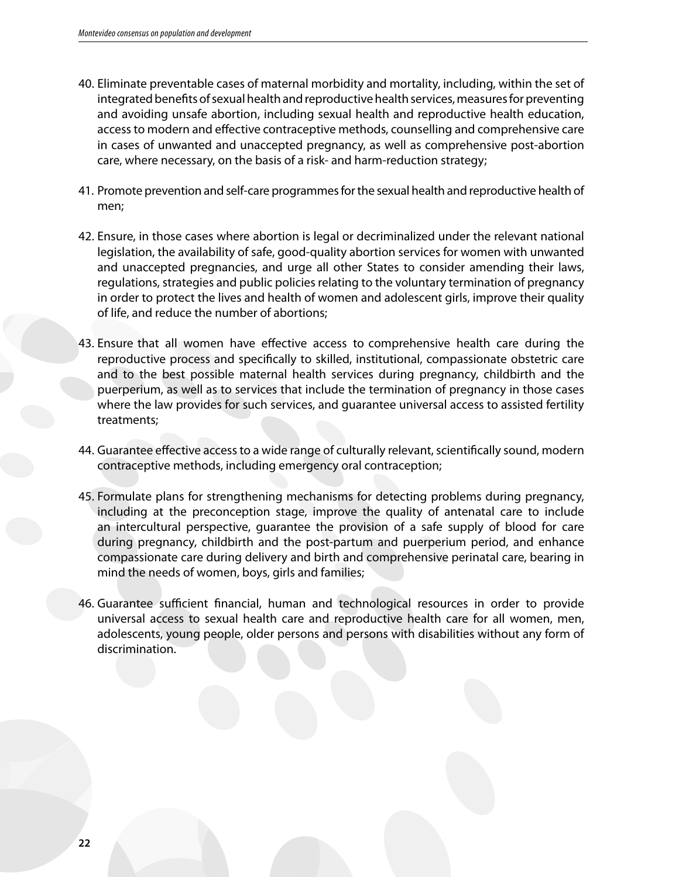- 40. Eliminate preventable cases of maternal morbidity and mortality, including, within the set of integrated benefits of sexual health and reproductive health services, measures for preventing and avoiding unsafe abortion, including sexual health and reproductive health education, access to modern and effective contraceptive methods, counselling and comprehensive care in cases of unwanted and unaccepted pregnancy, as well as comprehensive post-abortion care, where necessary, on the basis of a risk- and harm-reduction strategy;
- 41. Promote prevention and self-care programmes for the sexual health and reproductive health of men;
- 42. Ensure, in those cases where abortion is legal or decriminalized under the relevant national legislation, the availability of safe, good-quality abortion services for women with unwanted and unaccepted pregnancies, and urge all other States to consider amending their laws, regulations, strategies and public policies relating to the voluntary termination of pregnancy in order to protect the lives and health of women and adolescent girls, improve their quality of life, and reduce the number of abortions;
- 43. Ensure that all women have effective access to comprehensive health care during the reproductive process and specifically to skilled, institutional, compassionate obstetric care and to the best possible maternal health services during pregnancy, childbirth and the puerperium, as well as to services that include the termination of pregnancy in those cases where the law provides for such services, and guarantee universal access to assisted fertility treatments;
- 44. Guarantee effective access to a wide range of culturally relevant, scientifically sound, modern contraceptive methods, including emergency oral contraception;
- 45. Formulate plans for strengthening mechanisms for detecting problems during pregnancy, including at the preconception stage, improve the quality of antenatal care to include an intercultural perspective, guarantee the provision of a safe supply of blood for care during pregnancy, childbirth and the post-partum and puerperium period, and enhance compassionate care during delivery and birth and comprehensive perinatal care, bearing in mind the needs of women, boys, girls and families;
- 46. Guarantee sufficient financial, human and technological resources in order to provide universal access to sexual health care and reproductive health care for all women, men, adolescents, young people, older persons and persons with disabilities without any form of discrimination.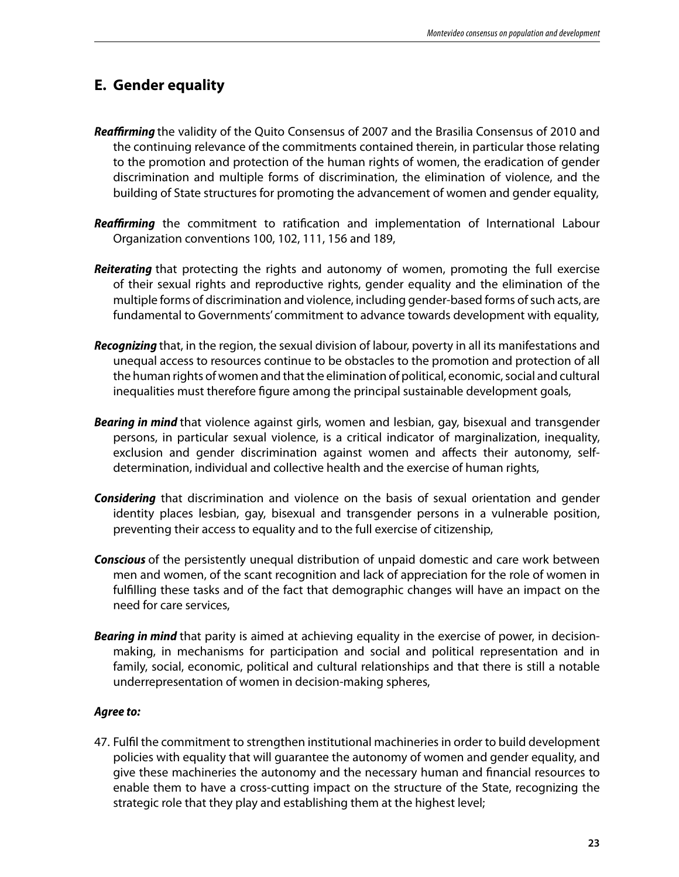## **E. Gender equality**

- *Reaffirming* the validity of the Quito Consensus of 2007 and the Brasilia Consensus of 2010 and the continuing relevance of the commitments contained therein, in particular those relating to the promotion and protection of the human rights of women, the eradication of gender discrimination and multiple forms of discrimination, the elimination of violence, and the building of State structures for promoting the advancement of women and gender equality,
- *Reaffirming* the commitment to ratification and implementation of International Labour Organization conventions 100, 102, 111, 156 and 189,
- *Reiterating* that protecting the rights and autonomy of women, promoting the full exercise of their sexual rights and reproductive rights, gender equality and the elimination of the multiple forms of discrimination and violence, including gender-based forms of such acts, are fundamental to Governments' commitment to advance towards development with equality,
- *Recognizing* that, in the region, the sexual division of labour, poverty in all its manifestations and unequal access to resources continue to be obstacles to the promotion and protection of all the human rights of women and that the elimination of political, economic, social and cultural inequalities must therefore figure among the principal sustainable development goals,
- *Bearing in mind* that violence against girls, women and lesbian, gay, bisexual and transgender persons, in particular sexual violence, is a critical indicator of marginalization, inequality, exclusion and gender discrimination against women and affects their autonomy, selfdetermination, individual and collective health and the exercise of human rights,
- *Considering* that discrimination and violence on the basis of sexual orientation and gender identity places lesbian, gay, bisexual and transgender persons in a vulnerable position, preventing their access to equality and to the full exercise of citizenship,
- *Conscious* of the persistently unequal distribution of unpaid domestic and care work between men and women, of the scant recognition and lack of appreciation for the role of women in fulfilling these tasks and of the fact that demographic changes will have an impact on the need for care services,
- *Bearing in mind* that parity is aimed at achieving equality in the exercise of power, in decisionmaking, in mechanisms for participation and social and political representation and in family, social, economic, political and cultural relationships and that there is still a notable underrepresentation of women in decision-making spheres,

### *Agree to:*

47. Fulfil the commitment to strengthen institutional machineries in order to build development policies with equality that will guarantee the autonomy of women and gender equality, and give these machineries the autonomy and the necessary human and financial resources to enable them to have a cross-cutting impact on the structure of the State, recognizing the strategic role that they play and establishing them at the highest level;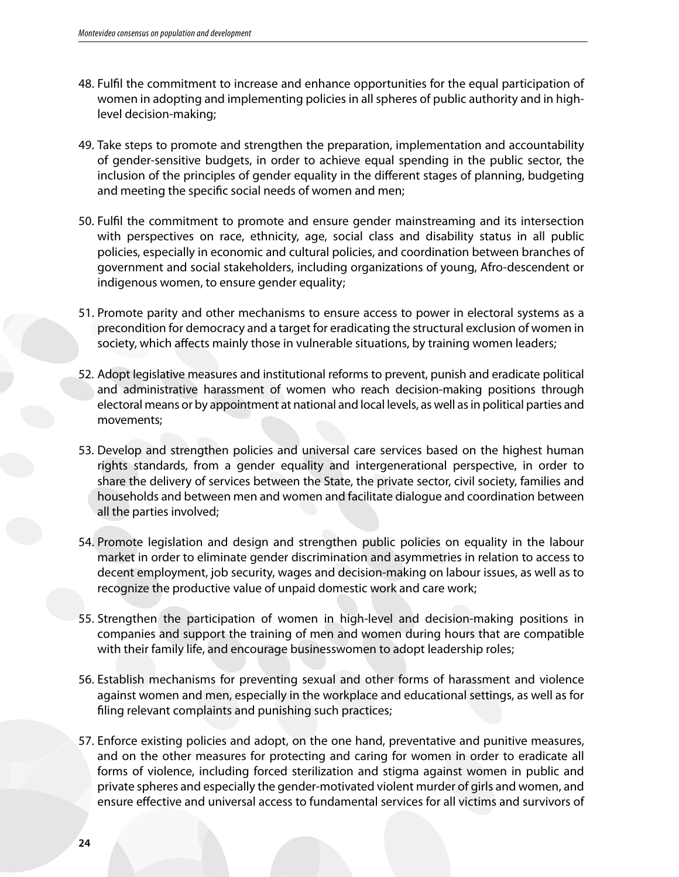- 48. Fulfil the commitment to increase and enhance opportunities for the equal participation of women in adopting and implementing policies in all spheres of public authority and in highlevel decision-making;
- 49. Take steps to promote and strengthen the preparation, implementation and accountability of gender-sensitive budgets, in order to achieve equal spending in the public sector, the inclusion of the principles of gender equality in the different stages of planning, budgeting and meeting the specific social needs of women and men;
- 50. Fulfil the commitment to promote and ensure gender mainstreaming and its intersection with perspectives on race, ethnicity, age, social class and disability status in all public policies, especially in economic and cultural policies, and coordination between branches of government and social stakeholders, including organizations of young, Afro-descendent or indigenous women, to ensure gender equality;
- 51. Promote parity and other mechanisms to ensure access to power in electoral systems as a precondition for democracy and a target for eradicating the structural exclusion of women in society, which affects mainly those in vulnerable situations, by training women leaders;
- 52. Adopt legislative measures and institutional reforms to prevent, punish and eradicate political and administrative harassment of women who reach decision-making positions through electoral means or by appointment at national and local levels, as well as in political parties and movements;
- 53. Develop and strengthen policies and universal care services based on the highest human rights standards, from a gender equality and intergenerational perspective, in order to share the delivery of services between the State, the private sector, civil society, families and households and between men and women and facilitate dialogue and coordination between all the parties involved;
- 54. Promote legislation and design and strengthen public policies on equality in the labour market in order to eliminate gender discrimination and asymmetries in relation to access to decent employment, job security, wages and decision-making on labour issues, as well as to recognize the productive value of unpaid domestic work and care work;
- 55. Strengthen the participation of women in high-level and decision-making positions in companies and support the training of men and women during hours that are compatible with their family life, and encourage businesswomen to adopt leadership roles;
- 56. Establish mechanisms for preventing sexual and other forms of harassment and violence against women and men, especially in the workplace and educational settings, as well as for filing relevant complaints and punishing such practices;
- 57. Enforce existing policies and adopt, on the one hand, preventative and punitive measures, and on the other measures for protecting and caring for women in order to eradicate all forms of violence, including forced sterilization and stigma against women in public and private spheres and especially the gender-motivated violent murder of girls and women, and ensure effective and universal access to fundamental services for all victims and survivors of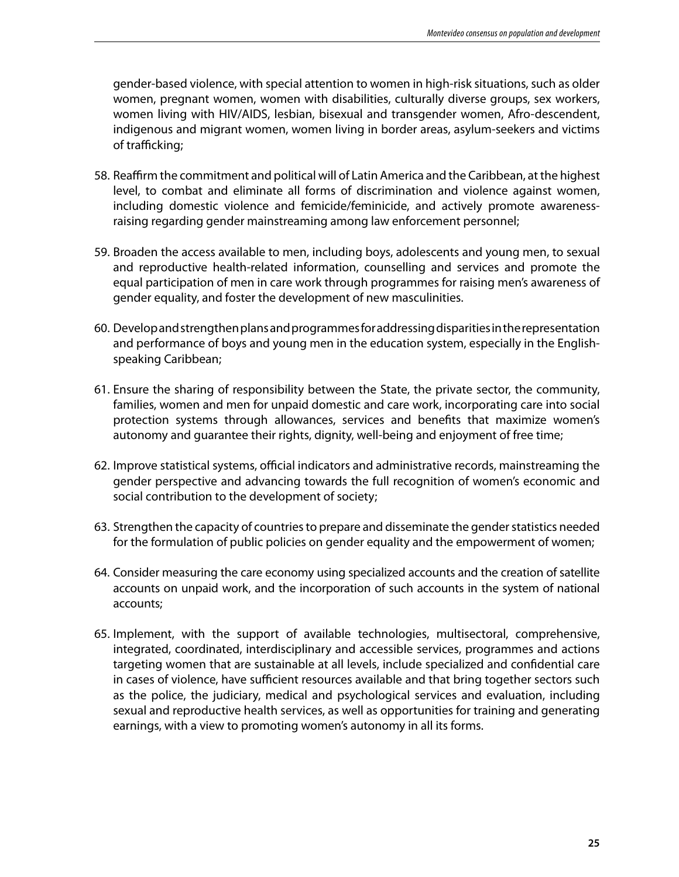gender-based violence, with special attention to women in high-risk situations, such as older women, pregnant women, women with disabilities, culturally diverse groups, sex workers, women living with HIV/AIDS, lesbian, bisexual and transgender women, Afro-descendent, indigenous and migrant women, women living in border areas, asylum-seekers and victims of trafficking;

- 58. Reaffirm the commitment and political will of Latin America and the Caribbean, at the highest level, to combat and eliminate all forms of discrimination and violence against women, including domestic violence and femicide/feminicide, and actively promote awarenessraising regarding gender mainstreaming among law enforcement personnel;
- 59. Broaden the access available to men, including boys, adolescents and young men, to sexual and reproductive health-related information, counselling and services and promote the equal participation of men in care work through programmes for raising men's awareness of gender equality, and foster the development of new masculinities.
- 60. Develop and strengthen plans and programmes for addressing disparities in the representation and performance of boys and young men in the education system, especially in the Englishspeaking Caribbean;
- 61. Ensure the sharing of responsibility between the State, the private sector, the community, families, women and men for unpaid domestic and care work, incorporating care into social protection systems through allowances, services and benefits that maximize women's autonomy and guarantee their rights, dignity, well-being and enjoyment of free time;
- 62. Improve statistical systems, official indicators and administrative records, mainstreaming the gender perspective and advancing towards the full recognition of women's economic and social contribution to the development of society;
- 63. Strengthen the capacity of countries to prepare and disseminate the gender statistics needed for the formulation of public policies on gender equality and the empowerment of women;
- 64. Consider measuring the care economy using specialized accounts and the creation of satellite accounts on unpaid work, and the incorporation of such accounts in the system of national accounts;
- 65. Implement, with the support of available technologies, multisectoral, comprehensive, integrated, coordinated, interdisciplinary and accessible services, programmes and actions targeting women that are sustainable at all levels, include specialized and confidential care in cases of violence, have sufficient resources available and that bring together sectors such as the police, the judiciary, medical and psychological services and evaluation, including sexual and reproductive health services, as well as opportunities for training and generating earnings, with a view to promoting women's autonomy in all its forms.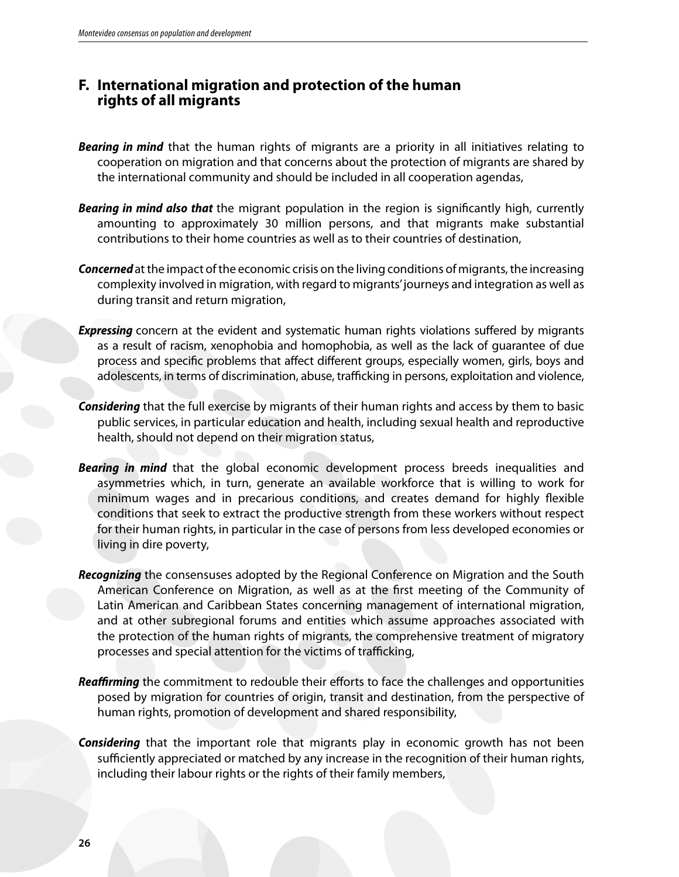## **F. International migration and protection of the human rights of all migrants**

- *Bearing in mind* that the human rights of migrants are a priority in all initiatives relating to cooperation on migration and that concerns about the protection of migrants are shared by the international community and should be included in all cooperation agendas,
- *Bearing in mind also that* the migrant population in the region is significantly high, currently amounting to approximately 30 million persons, and that migrants make substantial contributions to their home countries as well as to their countries of destination,
- *Concerned* at the impact of the economic crisis on the living conditions of migrants, the increasing complexity involved in migration, with regard to migrants' journeys and integration as well as during transit and return migration,
- *Expressing* concern at the evident and systematic human rights violations suffered by migrants as a result of racism, xenophobia and homophobia, as well as the lack of guarantee of due process and specific problems that affect different groups, especially women, girls, boys and adolescents, in terms of discrimination, abuse, trafficking in persons, exploitation and violence,
- *Considering* that the full exercise by migrants of their human rights and access by them to basic public services, in particular education and health, including sexual health and reproductive health, should not depend on their migration status,
- *Bearing in mind* that the global economic development process breeds inequalities and asymmetries which, in turn, generate an available workforce that is willing to work for minimum wages and in precarious conditions, and creates demand for highly flexible conditions that seek to extract the productive strength from these workers without respect for their human rights, in particular in the case of persons from less developed economies or living in dire poverty,
- *Recognizing* the consensuses adopted by the Regional Conference on Migration and the South American Conference on Migration, as well as at the first meeting of the Community of Latin American and Caribbean States concerning management of international migration, and at other subregional forums and entities which assume approaches associated with the protection of the human rights of migrants, the comprehensive treatment of migratory processes and special attention for the victims of trafficking,
- *Reaffirming* the commitment to redouble their efforts to face the challenges and opportunities posed by migration for countries of origin, transit and destination, from the perspective of human rights, promotion of development and shared responsibility,
- *Considering* that the important role that migrants play in economic growth has not been sufficiently appreciated or matched by any increase in the recognition of their human rights, including their labour rights or the rights of their family members,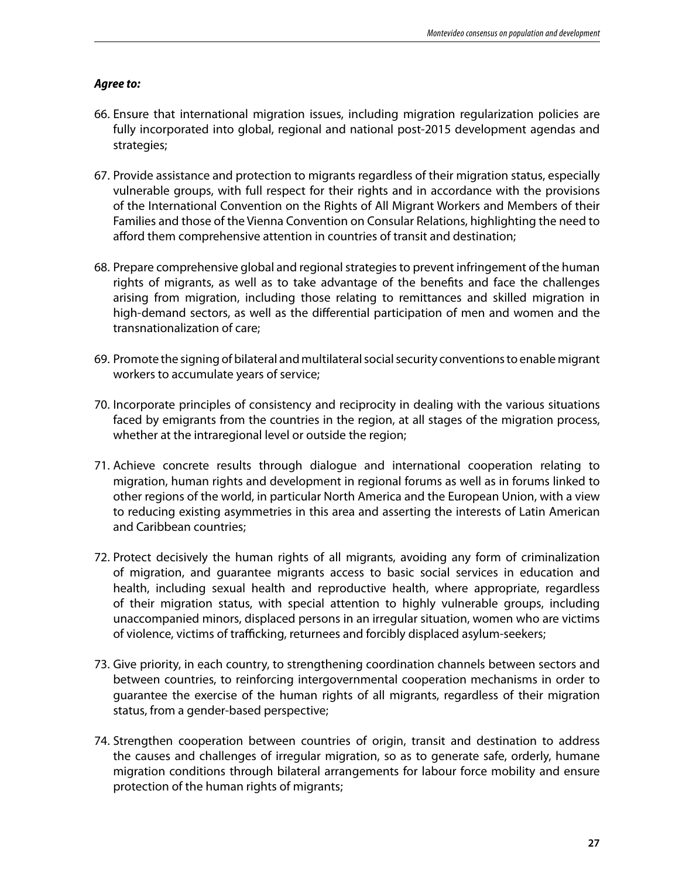- 66. Ensure that international migration issues, including migration regularization policies are fully incorporated into global, regional and national post-2015 development agendas and strategies;
- 67. Provide assistance and protection to migrants regardless of their migration status, especially vulnerable groups, with full respect for their rights and in accordance with the provisions of the International Convention on the Rights of All Migrant Workers and Members of their Families and those of the Vienna Convention on Consular Relations, highlighting the need to afford them comprehensive attention in countries of transit and destination;
- 68. Prepare comprehensive global and regional strategies to prevent infringement of the human rights of migrants, as well as to take advantage of the benefits and face the challenges arising from migration, including those relating to remittances and skilled migration in high-demand sectors, as well as the differential participation of men and women and the transnationalization of care;
- 69. Promote the signing of bilateral and multilateral social security conventions to enable migrant workers to accumulate years of service;
- 70. Incorporate principles of consistency and reciprocity in dealing with the various situations faced by emigrants from the countries in the region, at all stages of the migration process, whether at the intraregional level or outside the region;
- 71. Achieve concrete results through dialogue and international cooperation relating to migration, human rights and development in regional forums as well as in forums linked to other regions of the world, in particular North America and the European Union, with a view to reducing existing asymmetries in this area and asserting the interests of Latin American and Caribbean countries;
- 72. Protect decisively the human rights of all migrants, avoiding any form of criminalization of migration, and guarantee migrants access to basic social services in education and health, including sexual health and reproductive health, where appropriate, regardless of their migration status, with special attention to highly vulnerable groups, including unaccompanied minors, displaced persons in an irregular situation, women who are victims of violence, victims of trafficking, returnees and forcibly displaced asylum-seekers;
- 73. Give priority, in each country, to strengthening coordination channels between sectors and between countries, to reinforcing intergovernmental cooperation mechanisms in order to guarantee the exercise of the human rights of all migrants, regardless of their migration status, from a gender-based perspective;
- 74. Strengthen cooperation between countries of origin, transit and destination to address the causes and challenges of irregular migration, so as to generate safe, orderly, humane migration conditions through bilateral arrangements for labour force mobility and ensure protection of the human rights of migrants;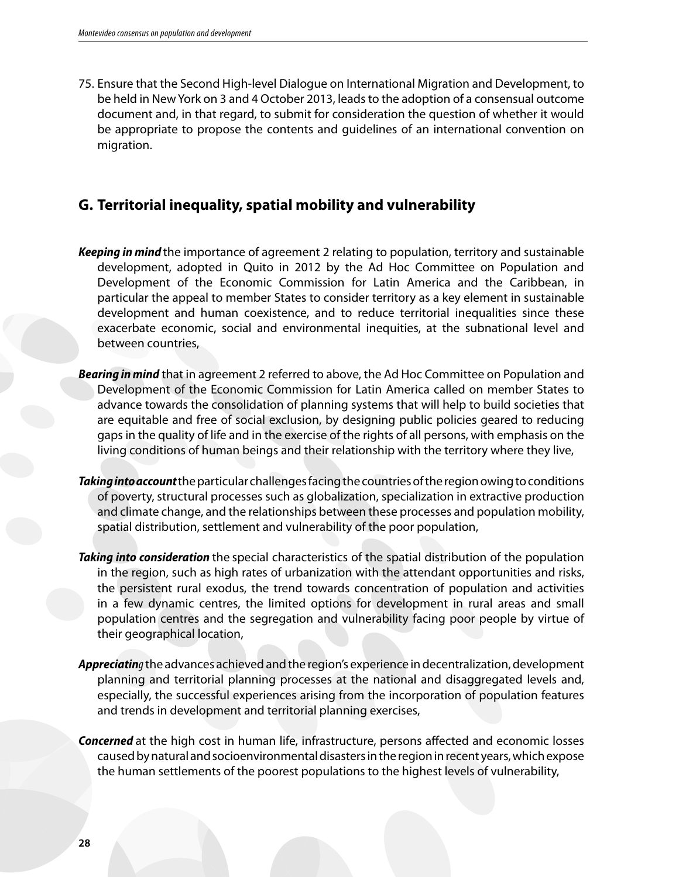75. Ensure that the Second High-level Dialogue on International Migration and Development, to be held in New York on 3 and 4 October 2013, leads to the adoption of a consensual outcome document and, in that regard, to submit for consideration the question of whether it would be appropriate to propose the contents and guidelines of an international convention on migration.

### **G. Territorial inequality, spatial mobility and vulnerability**

- *Keeping in mind* the importance of agreement 2 relating to population, territory and sustainable development, adopted in Quito in 2012 by the Ad Hoc Committee on Population and Development of the Economic Commission for Latin America and the Caribbean, in particular the appeal to member States to consider territory as a key element in sustainable development and human coexistence, and to reduce territorial inequalities since these exacerbate economic, social and environmental inequities, at the subnational level and between countries,
- *Bearing in mind* that in agreement 2 referred to above, the Ad Hoc Committee on Population and Development of the Economic Commission for Latin America called on member States to advance towards the consolidation of planning systems that will help to build societies that are equitable and free of social exclusion, by designing public policies geared to reducing gaps in the quality of life and in the exercise of the rights of all persons, with emphasis on the living conditions of human beings and their relationship with the territory where they live,
- *Taking into account*the particular challenges facing the countries of the region owing to conditions of poverty, structural processes such as globalization, specialization in extractive production and climate change, and the relationships between these processes and population mobility, spatial distribution, settlement and vulnerability of the poor population,
- *Taking into consideration* the special characteristics of the spatial distribution of the population in the region, such as high rates of urbanization with the attendant opportunities and risks, the persistent rural exodus, the trend towards concentration of population and activities in a few dynamic centres, the limited options for development in rural areas and small population centres and the segregation and vulnerability facing poor people by virtue of their geographical location,
- *Appreciating* the advances achieved and the region's experience in decentralization, development planning and territorial planning processes at the national and disaggregated levels and, especially, the successful experiences arising from the incorporation of population features and trends in development and territorial planning exercises,
- *Concerned* at the high cost in human life, infrastructure, persons affected and economic losses caused by natural and socioenvironmental disasters in the region in recent years, which expose the human settlements of the poorest populations to the highest levels of vulnerability,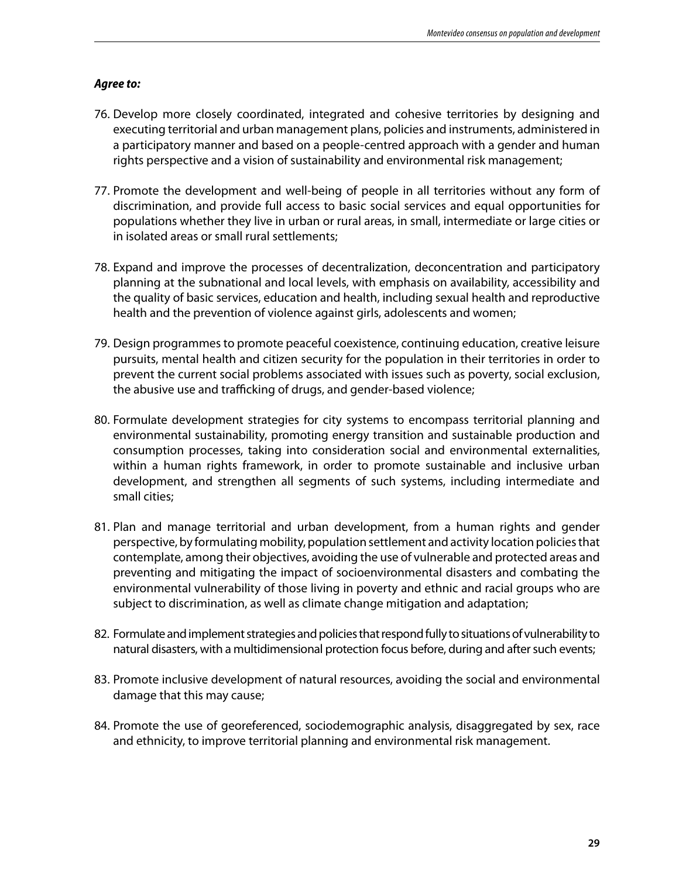- 76. Develop more closely coordinated, integrated and cohesive territories by designing and executing territorial and urban management plans, policies and instruments, administered in a participatory manner and based on a people-centred approach with a gender and human rights perspective and a vision of sustainability and environmental risk management;
- 77. Promote the development and well-being of people in all territories without any form of discrimination, and provide full access to basic social services and equal opportunities for populations whether they live in urban or rural areas, in small, intermediate or large cities or in isolated areas or small rural settlements;
- 78. Expand and improve the processes of decentralization, deconcentration and participatory planning at the subnational and local levels, with emphasis on availability, accessibility and the quality of basic services, education and health, including sexual health and reproductive health and the prevention of violence against girls, adolescents and women;
- 79. Design programmes to promote peaceful coexistence, continuing education, creative leisure pursuits, mental health and citizen security for the population in their territories in order to prevent the current social problems associated with issues such as poverty, social exclusion, the abusive use and trafficking of drugs, and gender-based violence;
- 80. Formulate development strategies for city systems to encompass territorial planning and environmental sustainability, promoting energy transition and sustainable production and consumption processes, taking into consideration social and environmental externalities, within a human rights framework, in order to promote sustainable and inclusive urban development, and strengthen all segments of such systems, including intermediate and small cities;
- 81. Plan and manage territorial and urban development, from a human rights and gender perspective, by formulating mobility, population settlement and activity location policies that contemplate, among their objectives, avoiding the use of vulnerable and protected areas and preventing and mitigating the impact of socioenvironmental disasters and combating the environmental vulnerability of those living in poverty and ethnic and racial groups who are subject to discrimination, as well as climate change mitigation and adaptation;
- 82. Formulate and implement strategies and policies that respond fully to situations of vulnerability to natural disasters, with a multidimensional protection focus before, during and after such events;
- 83. Promote inclusive development of natural resources, avoiding the social and environmental damage that this may cause;
- 84. Promote the use of georeferenced, sociodemographic analysis, disaggregated by sex, race and ethnicity, to improve territorial planning and environmental risk management.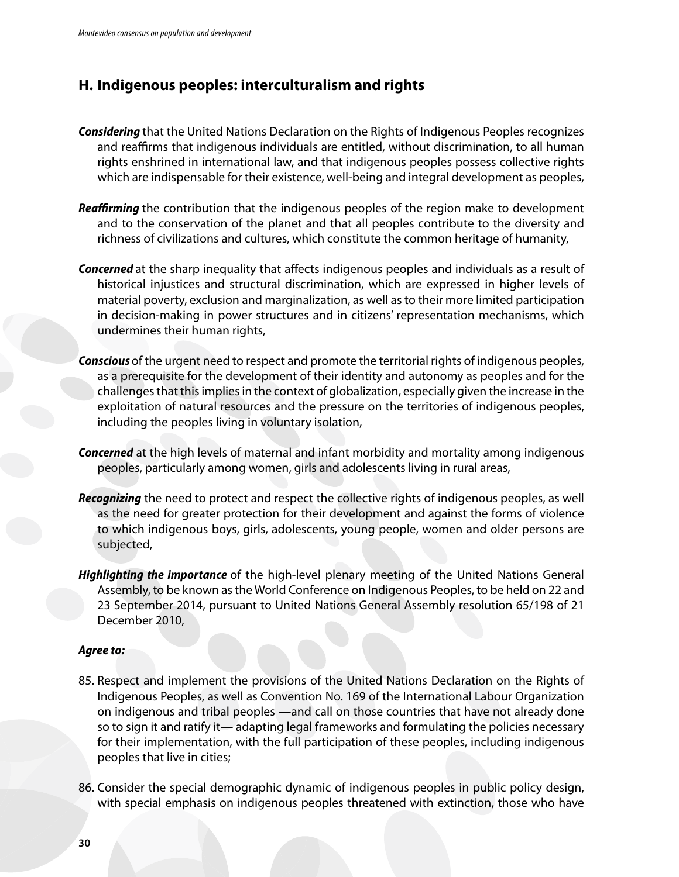## **H. Indigenous peoples: interculturalism and rights**

- *Considering* that the United Nations Declaration on the Rights of Indigenous Peoples recognizes and reaffirms that indigenous individuals are entitled, without discrimination, to all human rights enshrined in international law, and that indigenous peoples possess collective rights which are indispensable for their existence, well-being and integral development as peoples,
- *Reaffirming* the contribution that the indigenous peoples of the region make to development and to the conservation of the planet and that all peoples contribute to the diversity and richness of civilizations and cultures, which constitute the common heritage of humanity,
- *Concerned* at the sharp inequality that affects indigenous peoples and individuals as a result of historical injustices and structural discrimination, which are expressed in higher levels of material poverty, exclusion and marginalization, as well as to their more limited participation in decision-making in power structures and in citizens' representation mechanisms, which undermines their human rights,
- *Conscious*of the urgent need to respect and promote the territorial rights of indigenous peoples, as a prerequisite for the development of their identity and autonomy as peoples and for the challenges that this implies in the context of globalization, especially given the increase in the exploitation of natural resources and the pressure on the territories of indigenous peoples, including the peoples living in voluntary isolation,
- *Concerned* at the high levels of maternal and infant morbidity and mortality among indigenous peoples, particularly among women, girls and adolescents living in rural areas,
- *Recognizing* the need to protect and respect the collective rights of indigenous peoples, as well as the need for greater protection for their development and against the forms of violence to which indigenous boys, girls, adolescents, young people, women and older persons are subjected,
- *Highlighting the importance* of the high-level plenary meeting of the United Nations General Assembly, to be known as the World Conference on Indigenous Peoples, to be held on 22 and 23 September 2014, pursuant to United Nations General Assembly resolution 65/198 of 21 December 2010,

- 85. Respect and implement the provisions of the United Nations Declaration on the Rights of Indigenous Peoples, as well as Convention No. 169 of the International Labour Organization on indigenous and tribal peoples —and call on those countries that have not already done so to sign it and ratify it— adapting legal frameworks and formulating the policies necessary for their implementation, with the full participation of these peoples, including indigenous peoples that live in cities;
- 86. Consider the special demographic dynamic of indigenous peoples in public policy design, with special emphasis on indigenous peoples threatened with extinction, those who have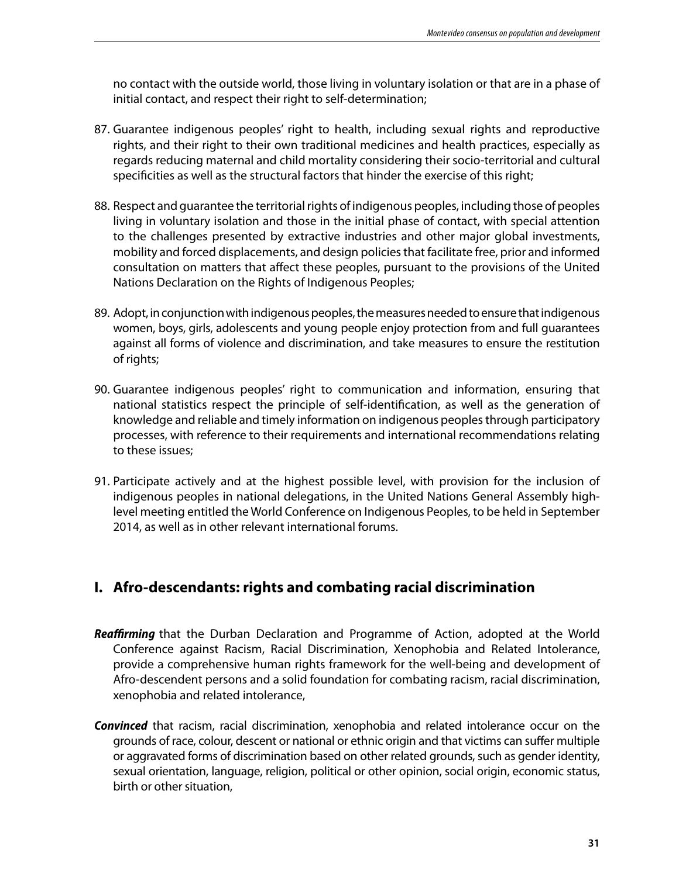no contact with the outside world, those living in voluntary isolation or that are in a phase of initial contact, and respect their right to self-determination;

- 87. Guarantee indigenous peoples' right to health, including sexual rights and reproductive rights, and their right to their own traditional medicines and health practices, especially as regards reducing maternal and child mortality considering their socio-territorial and cultural specificities as well as the structural factors that hinder the exercise of this right;
- 88. Respect and guarantee the territorial rights of indigenous peoples, including those of peoples living in voluntary isolation and those in the initial phase of contact, with special attention to the challenges presented by extractive industries and other major global investments, mobility and forced displacements, and design policies that facilitate free, prior and informed consultation on matters that affect these peoples, pursuant to the provisions of the United Nations Declaration on the Rights of Indigenous Peoples;
- 89. Adopt, in conjunction with indigenous peoples, the measures needed to ensure that indigenous women, boys, girls, adolescents and young people enjoy protection from and full guarantees against all forms of violence and discrimination, and take measures to ensure the restitution of rights;
- 90. Guarantee indigenous peoples' right to communication and information, ensuring that national statistics respect the principle of self-identification, as well as the generation of knowledge and reliable and timely information on indigenous peoples through participatory processes, with reference to their requirements and international recommendations relating to these issues;
- 91. Participate actively and at the highest possible level, with provision for the inclusion of indigenous peoples in national delegations, in the United Nations General Assembly highlevel meeting entitled the World Conference on Indigenous Peoples, to be held in September 2014, as well as in other relevant international forums.

## **I. Afro-descendants: rights and combating racial discrimination**

- *Reaffirming* that the Durban Declaration and Programme of Action, adopted at the World Conference against Racism, Racial Discrimination, Xenophobia and Related Intolerance, provide a comprehensive human rights framework for the well-being and development of Afro-descendent persons and a solid foundation for combating racism, racial discrimination, xenophobia and related intolerance,
- *Convinced* that racism, racial discrimination, xenophobia and related intolerance occur on the grounds of race, colour, descent or national or ethnic origin and that victims can suffer multiple or aggravated forms of discrimination based on other related grounds, such as gender identity, sexual orientation, language, religion, political or other opinion, social origin, economic status, birth or other situation,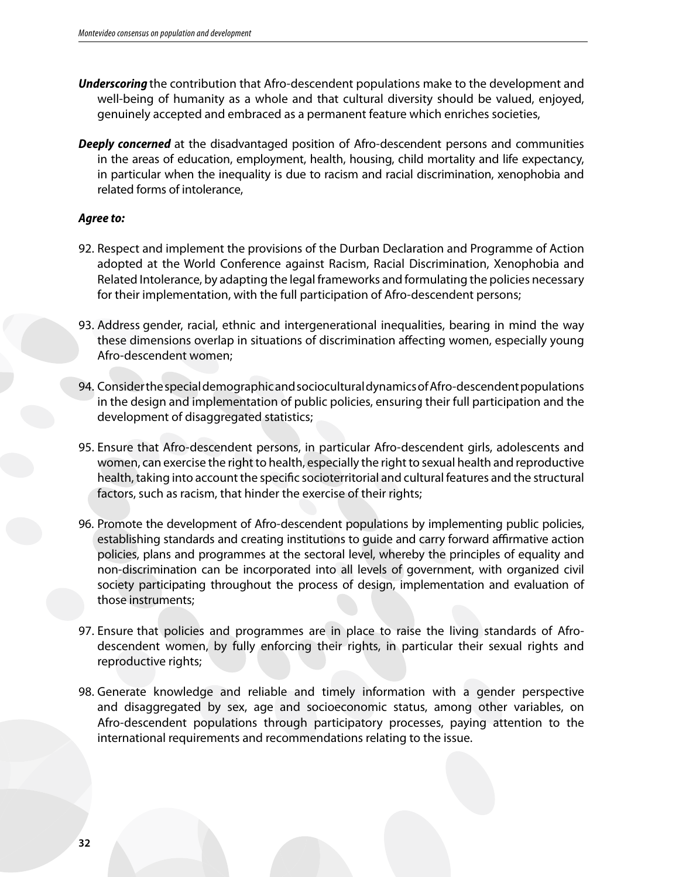- *Underscoring* the contribution that Afro-descendent populations make to the development and well-being of humanity as a whole and that cultural diversity should be valued, enjoyed, genuinely accepted and embraced as a permanent feature which enriches societies,
- *Deeply concerned* at the disadvantaged position of Afro-descendent persons and communities in the areas of education, employment, health, housing, child mortality and life expectancy, in particular when the inequality is due to racism and racial discrimination, xenophobia and related forms of intolerance,

- 92. Respect and implement the provisions of the Durban Declaration and Programme of Action adopted at the World Conference against Racism, Racial Discrimination, Xenophobia and Related Intolerance, by adapting the legal frameworks and formulating the policies necessary for their implementation, with the full participation of Afro-descendent persons;
- 93. Address gender, racial, ethnic and intergenerational inequalities, bearing in mind the way these dimensions overlap in situations of discrimination affecting women, especially young Afro-descendent women;
- 94. Consider the special demographic and sociocultural dynamics of Afro-descendent populations in the design and implementation of public policies, ensuring their full participation and the development of disaggregated statistics;
- 95. Ensure that Afro-descendent persons, in particular Afro-descendent girls, adolescents and women, can exercise the right to health, especially the right to sexual health and reproductive health, taking into account the specific socioterritorial and cultural features and the structural factors, such as racism, that hinder the exercise of their rights;
- 96. Promote the development of Afro-descendent populations by implementing public policies, establishing standards and creating institutions to guide and carry forward affirmative action policies, plans and programmes at the sectoral level, whereby the principles of equality and non-discrimination can be incorporated into all levels of government, with organized civil society participating throughout the process of design, implementation and evaluation of those instruments;
- 97. Ensure that policies and programmes are in place to raise the living standards of Afrodescendent women, by fully enforcing their rights, in particular their sexual rights and reproductive rights;
- 98. Generate knowledge and reliable and timely information with a gender perspective and disaggregated by sex, age and socioeconomic status, among other variables, on Afro-descendent populations through participatory processes, paying attention to the international requirements and recommendations relating to the issue.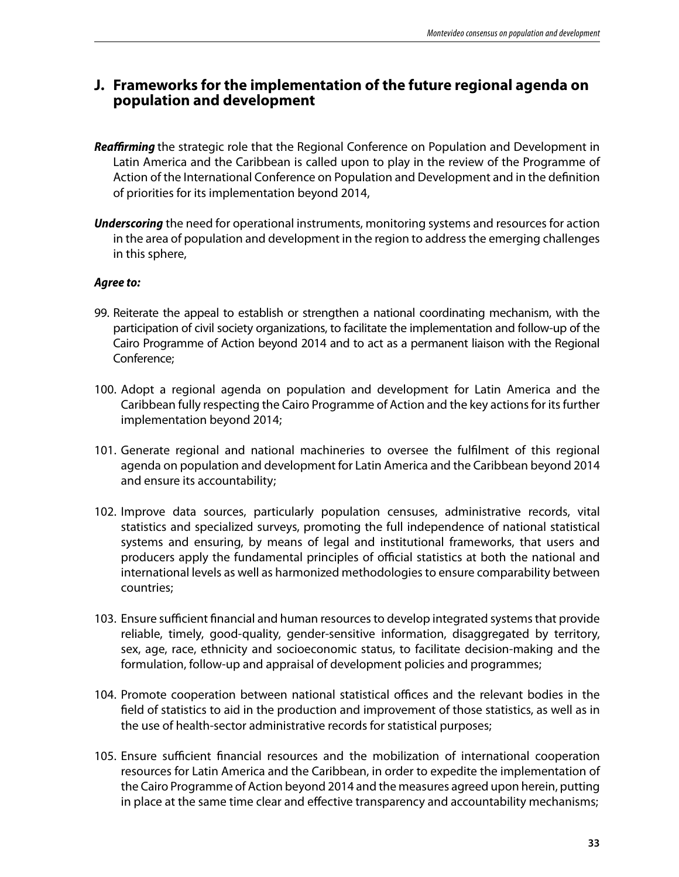## **J. Frameworks for the implementation of the future regional agenda on population and development**

- *Reaffirming* the strategic role that the Regional Conference on Population and Development in Latin America and the Caribbean is called upon to play in the review of the Programme of Action of the International Conference on Population and Development and in the definition of priorities for its implementation beyond 2014,
- *Underscoring* the need for operational instruments, monitoring systems and resources for action in the area of population and development in the region to address the emerging challenges in this sphere,

- 99. Reiterate the appeal to establish or strengthen a national coordinating mechanism, with the participation of civil society organizations, to facilitate the implementation and follow-up of the Cairo Programme of Action beyond 2014 and to act as a permanent liaison with the Regional Conference;
- 100. Adopt a regional agenda on population and development for Latin America and the Caribbean fully respecting the Cairo Programme of Action and the key actions for its further implementation beyond 2014;
- 101. Generate regional and national machineries to oversee the fulfilment of this regional agenda on population and development for Latin America and the Caribbean beyond 2014 and ensure its accountability;
- 102. Improve data sources, particularly population censuses, administrative records, vital statistics and specialized surveys, promoting the full independence of national statistical systems and ensuring, by means of legal and institutional frameworks, that users and producers apply the fundamental principles of official statistics at both the national and international levels as well as harmonized methodologies to ensure comparability between countries;
- 103. Ensure sufficient financial and human resources to develop integrated systems that provide reliable, timely, good-quality, gender-sensitive information, disaggregated by territory, sex, age, race, ethnicity and socioeconomic status, to facilitate decision-making and the formulation, follow-up and appraisal of development policies and programmes;
- 104. Promote cooperation between national statistical offices and the relevant bodies in the field of statistics to aid in the production and improvement of those statistics, as well as in the use of health-sector administrative records for statistical purposes;
- 105. Ensure sufficient financial resources and the mobilization of international cooperation resources for Latin America and the Caribbean, in order to expedite the implementation of the Cairo Programme of Action beyond 2014 and the measures agreed upon herein, putting in place at the same time clear and effective transparency and accountability mechanisms;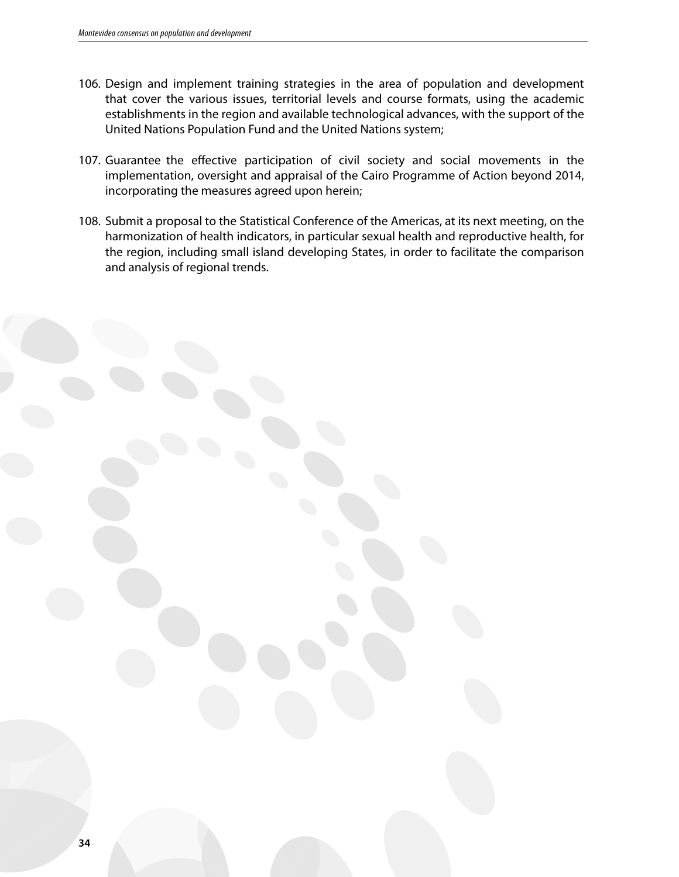- 106. Design and implement training strategies in the area of population and development that cover the various issues, territorial levels and course formats, using the academic establishments in the region and available technological advances, with the support of the United Nations Population Fund and the United Nations system;
- 107. Guarantee the effective participation of civil society and social movements in the implementation, oversight and appraisal of the Cairo Programme of Action beyond 2014, incorporating the measures agreed upon herein;
- 108. Submit a proposal to the Statistical Conference of the Americas, at its next meeting, on the harmonization of health indicators, in particular sexual health and reproductive health, for the region, including small island developing States, in order to facilitate the comparison and analysis of regional trends.

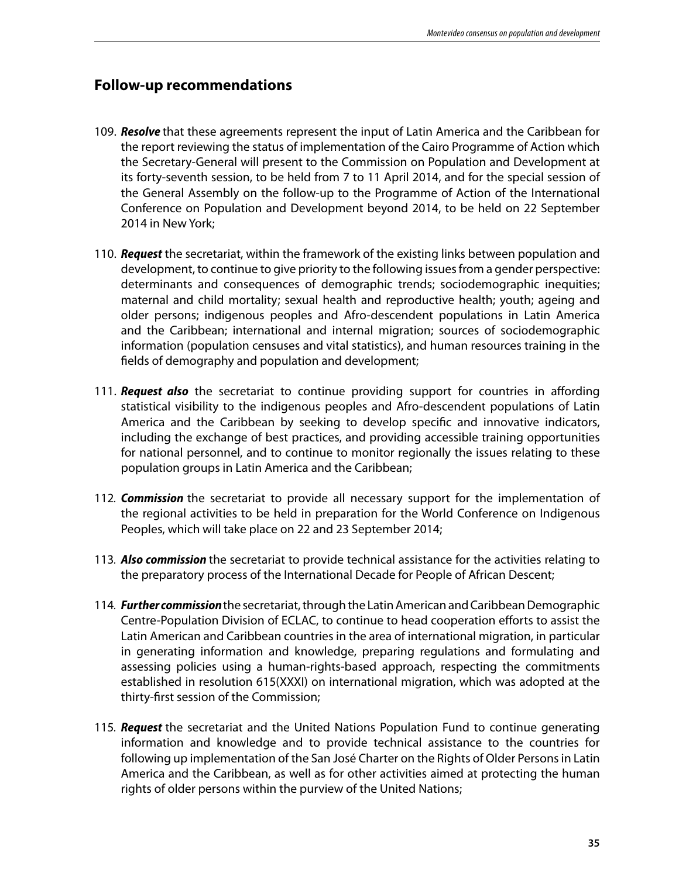## **Follow-up recommendations**

- 109. *Resolve* that these agreements represent the input of Latin America and the Caribbean for the report reviewing the status of implementation of the Cairo Programme of Action which the Secretary-General will present to the Commission on Population and Development at its forty-seventh session, to be held from 7 to 11 April 2014, and for the special session of the General Assembly on the follow-up to the Programme of Action of the International Conference on Population and Development beyond 2014, to be held on 22 September 2014 in New York;
- 110. *Request* the secretariat, within the framework of the existing links between population and development, to continue to give priority to the following issues from a gender perspective: determinants and consequences of demographic trends; sociodemographic inequities; maternal and child mortality; sexual health and reproductive health; youth; ageing and older persons; indigenous peoples and Afro-descendent populations in Latin America and the Caribbean; international and internal migration; sources of sociodemographic information (population censuses and vital statistics), and human resources training in the fields of demography and population and development;
- 111. *Request also* the secretariat to continue providing support for countries in affording statistical visibility to the indigenous peoples and Afro-descendent populations of Latin America and the Caribbean by seeking to develop specific and innovative indicators, including the exchange of best practices, and providing accessible training opportunities for national personnel, and to continue to monitor regionally the issues relating to these population groups in Latin America and the Caribbean;
- 112*. Commission* the secretariat to provide all necessary support for the implementation of the regional activities to be held in preparation for the World Conference on Indigenous Peoples, which will take place on 22 and 23 September 2014;
- 113*. Also commission* the secretariat to provide technical assistance for the activities relating to the preparatory process of the International Decade for People of African Descent;
- 114*. Further commission*the secretariat, through the Latin American and Caribbean Demographic Centre-Population Division of ECLAC, to continue to head cooperation efforts to assist the Latin American and Caribbean countries in the area of international migration, in particular in generating information and knowledge, preparing regulations and formulating and assessing policies using a human-rights-based approach, respecting the commitments established in resolution 615(XXXI) on international migration, which was adopted at the thirty-first session of the Commission;
- 115*. Request* the secretariat and the United Nations Population Fund to continue generating information and knowledge and to provide technical assistance to the countries for following up implementation of the San José Charter on the Rights of Older Persons in Latin America and the Caribbean, as well as for other activities aimed at protecting the human rights of older persons within the purview of the United Nations;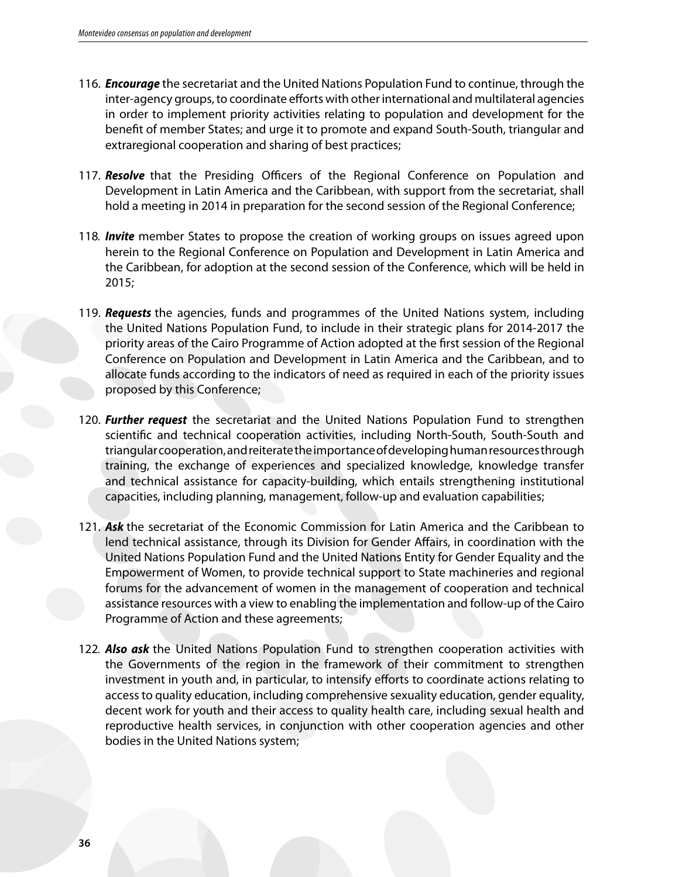- 116. *Encourage* the secretariat and the United Nations Population Fund to continue, through the inter-agency groups, to coordinate efforts with other international and multilateral agencies in order to implement priority activities relating to population and development for the benefit of member States; and urge it to promote and expand South-South, triangular and extraregional cooperation and sharing of best practices;
- 117. *Resolve* that the Presiding Officers of the Regional Conference on Population and Development in Latin America and the Caribbean, with support from the secretariat, shall hold a meeting in 2014 in preparation for the second session of the Regional Conference;
- 118*. Invite* member States to propose the creation of working groups on issues agreed upon herein to the Regional Conference on Population and Development in Latin America and the Caribbean, for adoption at the second session of the Conference, which will be held in 2015;
- 119. *Requests* the agencies, funds and programmes of the United Nations system, including the United Nations Population Fund, to include in their strategic plans for 2014-2017 the priority areas of the Cairo Programme of Action adopted at the first session of the Regional Conference on Population and Development in Latin America and the Caribbean, and to allocate funds according to the indicators of need as required in each of the priority issues proposed by this Conference;
- 120. *Further request* the secretariat and the United Nations Population Fund to strengthen scientific and technical cooperation activities, including North-South, South-South and triangular cooperation, and reiterate the importance of developing human resources through training, the exchange of experiences and specialized knowledge, knowledge transfer and technical assistance for capacity-building, which entails strengthening institutional capacities, including planning, management, follow-up and evaluation capabilities;
- 121. *Ask* the secretariat of the Economic Commission for Latin America and the Caribbean to lend technical assistance, through its Division for Gender Affairs, in coordination with the United Nations Population Fund and the United Nations Entity for Gender Equality and the Empowerment of Women, to provide technical support to State machineries and regional forums for the advancement of women in the management of cooperation and technical assistance resources with a view to enabling the implementation and follow-up of the Cairo Programme of Action and these agreements;
- 122*. Also ask* the United Nations Population Fund to strengthen cooperation activities with the Governments of the region in the framework of their commitment to strengthen investment in youth and, in particular, to intensify efforts to coordinate actions relating to access to quality education, including comprehensive sexuality education, gender equality, decent work for youth and their access to quality health care, including sexual health and reproductive health services, in conjunction with other cooperation agencies and other bodies in the United Nations system;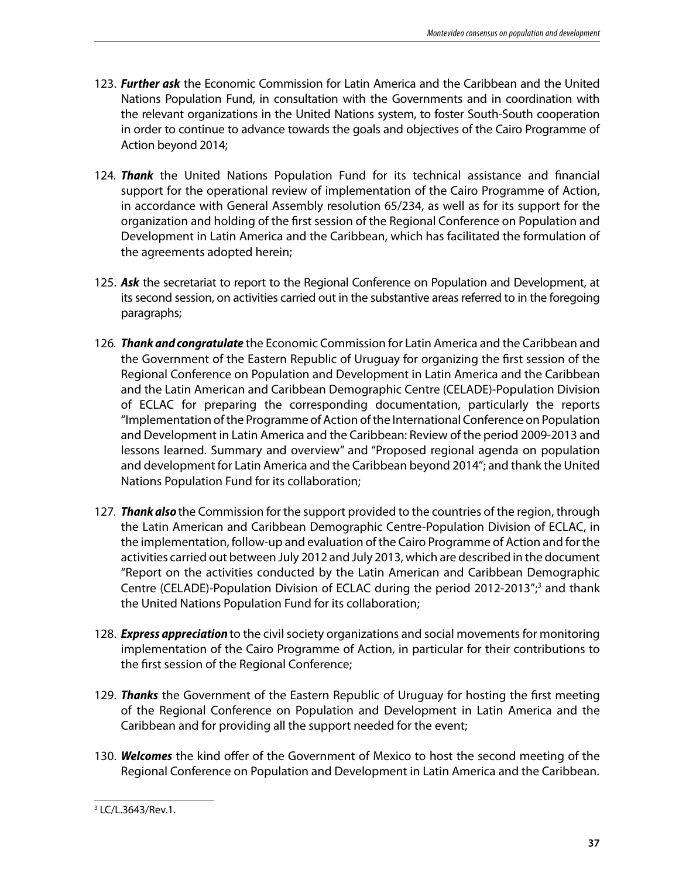- 123. *Further ask* the Economic Commission for Latin America and the Caribbean and the United Nations Population Fund, in consultation with the Governments and in coordination with the relevant organizations in the United Nations system, to foster South-South cooperation in order to continue to advance towards the goals and objectives of the Cairo Programme of Action beyond 2014;
- 124*. Thank* the United Nations Population Fund for its technical assistance and financial support for the operational review of implementation of the Cairo Programme of Action, in accordance with General Assembly resolution 65/234, as well as for its support for the organization and holding of the first session of the Regional Conference on Population and Development in Latin America and the Caribbean, which has facilitated the formulation of the agreements adopted herein;
- 125. *Ask* the secretariat to report to the Regional Conference on Population and Development, at its second session, on activities carried out in the substantive areas referred to in the foregoing paragraphs;
- 126*. Thank and congratulate* the Economic Commission for Latin America and the Caribbean and the Government of the Eastern Republic of Uruguay for organizing the first session of the Regional Conference on Population and Development in Latin America and the Caribbean and the Latin American and Caribbean Demographic Centre (CELADE)-Population Division of ECLAC for preparing the corresponding documentation, particularly the reports "Implementation of the Programme of Action of the International Conference on Population and Development in Latin America and the Caribbean: Review of the period 2009-2013 and lessons learned. Summary and overview" and "Proposed regional agenda on population and development for Latin America and the Caribbean beyond 2014"; and thank the United Nations Population Fund for its collaboration;
- 127*. Thank also*the Commission for the support provided to the countries of the region, through the Latin American and Caribbean Demographic Centre-Population Division of ECLAC, in the implementation, follow-up and evaluation of the Cairo Programme of Action and for the activities carried out between July 2012 and July 2013, which are described in the document "Report on the activities conducted by the Latin American and Caribbean Demographic Centre (CELADE)-Population Division of ECLAC during the period 2012-2013";<sup>3</sup> and thank the United Nations Population Fund for its collaboration;
- 128. *Express appreciation* to the civil society organizations and social movements for monitoring implementation of the Cairo Programme of Action, in particular for their contributions to the first session of the Regional Conference;
- 129. *Thanks* the Government of the Eastern Republic of Uruguay for hosting the first meeting of the Regional Conference on Population and Development in Latin America and the Caribbean and for providing all the support needed for the event;
- 130. *Welcomes* the kind offer of the Government of Mexico to host the second meeting of the Regional Conference on Population and Development in Latin America and the Caribbean.

<sup>3</sup> LC/L.3643/Rev.1.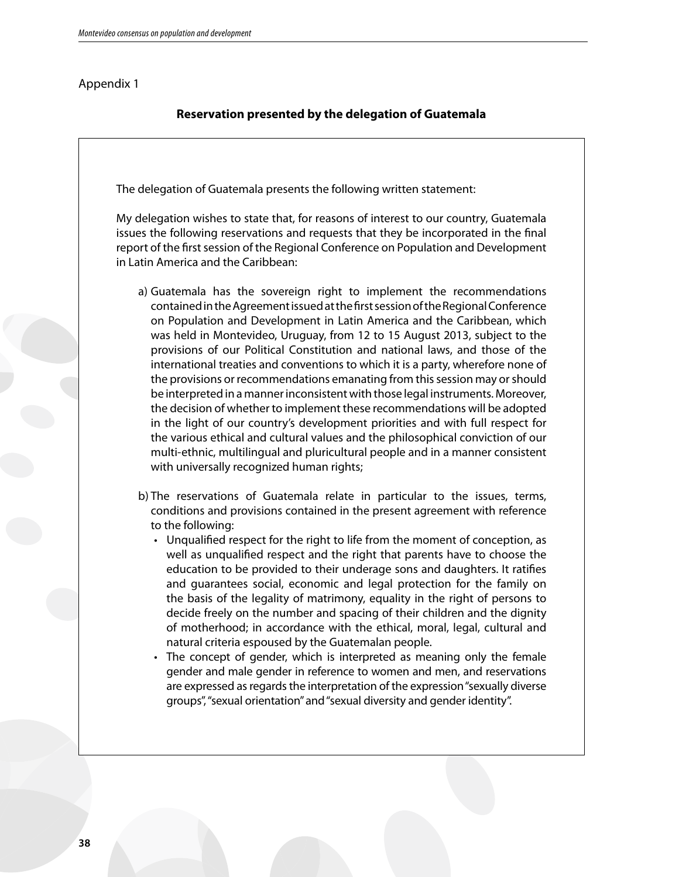#### Appendix 1

#### **Reservation presented by the delegation of Guatemala**

The delegation of Guatemala presents the following written statement:

My delegation wishes to state that, for reasons of interest to our country, Guatemala issues the following reservations and requests that they be incorporated in the final report of the first session of the Regional Conference on Population and Development in Latin America and the Caribbean:

- a) Guatemala has the sovereign right to implement the recommendations contained in the Agreement issued at the first session of the Regional Conference on Population and Development in Latin America and the Caribbean, which was held in Montevideo, Uruguay, from 12 to 15 August 2013, subject to the provisions of our Political Constitution and national laws, and those of the international treaties and conventions to which it is a party, wherefore none of the provisions or recommendations emanating from this session may or should be interpreted in a manner inconsistent with those legal instruments. Moreover, the decision of whether to implement these recommendations will be adopted in the light of our country's development priorities and with full respect for the various ethical and cultural values and the philosophical conviction of our multi-ethnic, multilingual and pluricultural people and in a manner consistent with universally recognized human rights;
- b) The reservations of Guatemala relate in particular to the issues, terms, conditions and provisions contained in the present agreement with reference to the following:
	- • Unqualified respect for the right to life from the moment of conception, as well as unqualified respect and the right that parents have to choose the education to be provided to their underage sons and daughters. It ratifies and guarantees social, economic and legal protection for the family on the basis of the legality of matrimony, equality in the right of persons to decide freely on the number and spacing of their children and the dignity of motherhood; in accordance with the ethical, moral, legal, cultural and natural criteria espoused by the Guatemalan people.
	- The concept of gender, which is interpreted as meaning only the female gender and male gender in reference to women and men, and reservations are expressed as regards the interpretation of the expression "sexually diverse groups", "sexual orientation" and "sexual diversity and gender identity".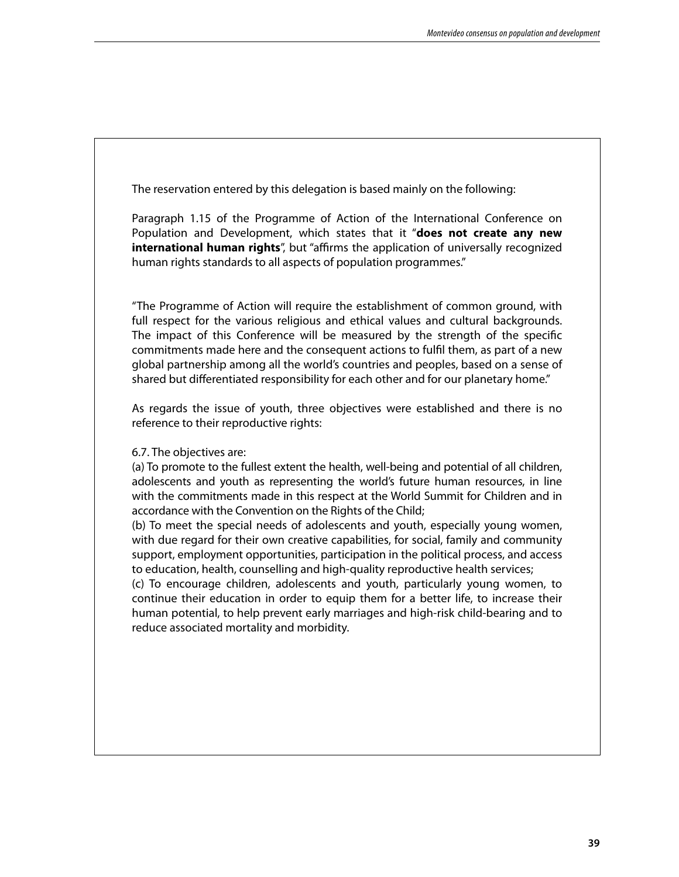The reservation entered by this delegation is based mainly on the following:

Paragraph 1.15 of the Programme of Action of the International Conference on Population and Development, which states that it "**does not create any new international human rights**", but "affirms the application of universally recognized human rights standards to all aspects of population programmes."

"The Programme of Action will require the establishment of common ground, with full respect for the various religious and ethical values and cultural backgrounds. The impact of this Conference will be measured by the strength of the specific commitments made here and the consequent actions to fulfil them, as part of a new global partnership among all the world's countries and peoples, based on a sense of shared but differentiated responsibility for each other and for our planetary home."

As regards the issue of youth, three objectives were established and there is no reference to their reproductive rights:

#### 6.7. The objectives are:

(a) To promote to the fullest extent the health, well-being and potential of all children, adolescents and youth as representing the world's future human resources, in line with the commitments made in this respect at the World Summit for Children and in accordance with the Convention on the Rights of the Child;

(b) To meet the special needs of adolescents and youth, especially young women, with due regard for their own creative capabilities, for social, family and community support, employment opportunities, participation in the political process, and access to education, health, counselling and high-quality reproductive health services;

(c) To encourage children, adolescents and youth, particularly young women, to continue their education in order to equip them for a better life, to increase their human potential, to help prevent early marriages and high-risk child-bearing and to reduce associated mortality and morbidity.